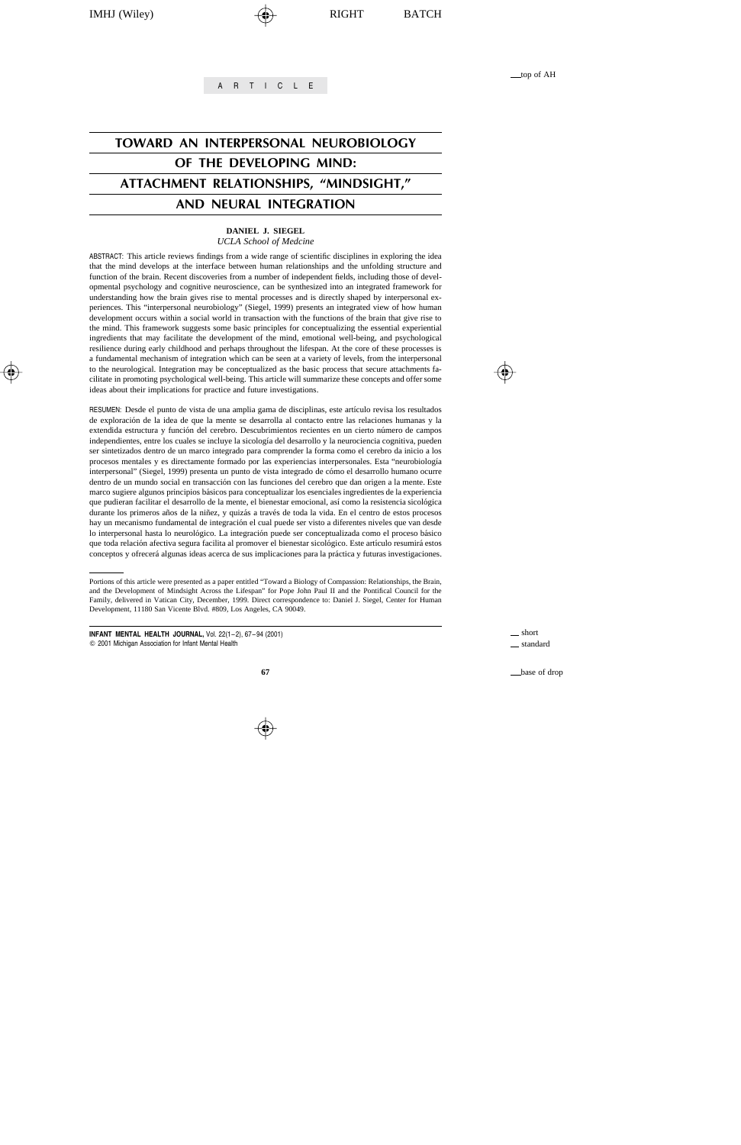# **TOWARD AN INTERPERSONAL NEUROBIOLOGY OF THE DEVELOPING MIND: ATTACHMENT RELATIONSHIPS, "MINDSIGHT," AND NEURAL INTEGRATION**

# **DANIEL J. SIEGEL**

*UCLA School of Medcine*

ABSTRACT: This article reviews findings from a wide range of scientific disciplines in exploring the idea that the mind develops at the interface between human relationships and the unfolding structure and function of the brain. Recent discoveries from a number of independent fields, including those of developmental psychology and cognitive neuroscience, can be synthesized into an integrated framework for understanding how the brain gives rise to mental processes and is directly shaped by interpersonal experiences. This "interpersonal neurobiology" (Siegel, 1999) presents an integrated view of how human development occurs within a social world in transaction with the functions of the brain that give rise to the mind. This framework suggests some basic principles for conceptualizing the essential experiential ingredients that may facilitate the development of the mind, emotional well-being, and psychological resilience during early childhood and perhaps throughout the lifespan. At the core of these processes is a fundamental mechanism of integration which can be seen at a variety of levels, from the interpersonal to the neurological. Integration may be conceptualized as the basic process that secure attachments facilitate in promoting psychological well-being. This article will summarize these concepts and offer some ideas about their implications for practice and future investigations.

RESUMEN: Desde el punto de vista de una amplia gama de disciplinas, este artículo revisa los resultados de exploracio´n de la idea de que la mente se desarrolla al contacto entre las relaciones humanas y la extendida estructura y función del cerebro. Descubrimientos recientes en un cierto número de campos independientes, entre los cuales se incluye la sicología del desarrollo y la neurociencia cognitiva, pueden ser sintetizados dentro de un marco integrado para comprender la forma como el cerebro da inicio a los procesos mentales y es directamente formado por las experiencias interpersonales. Esta "neurobiología" interpersonal" (Siegel, 1999) presenta un punto de vista integrado de cómo el desarrollo humano ocurre dentro de un mundo social en transacción con las funciones del cerebro que dan origen a la mente. Este marco sugiere algunos principios básicos para conceptualizar los esenciales ingredientes de la experiencia que pudieran facilitar el desarrollo de la mente, el bienestar emocional, ası´ como la resistencia sicolo´gica durante los primeros años de la niñez, y quizás a través de toda la vida. En el centro de estos procesos hay un mecanismo fundamental de integración el cual puede ser visto a diferentes niveles que van desde lo interpersonal hasta lo neurológico. La integración puede ser conceptualizada como el proceso básico que toda relación afectiva segura facilita al promover el bienestar sicológico. Este artículo resumirá estos conceptos y ofrecerá algunas ideas acerca de sus implicaciones para la práctica y futuras investigaciones.

Portions of this article were presented as a paper entitled "Toward a Biology of Compassion: Relationships, the Brain, and the Development of Mindsight Across the Lifespan" for Pope John Paul II and the Pontifical Council for the Family, delivered in Vatican City, December, 1999. Direct correspondence to: Daniel J. Siegel, Center for Human Development, 11180 San Vicente Blvd. #809, Los Angeles, CA 90049.

**INFANT MENTAL HEALTH JOURNAL,** Vol. 22(1–2), 67–94 (2001) 2001 Michigan Association for Infant Mental Health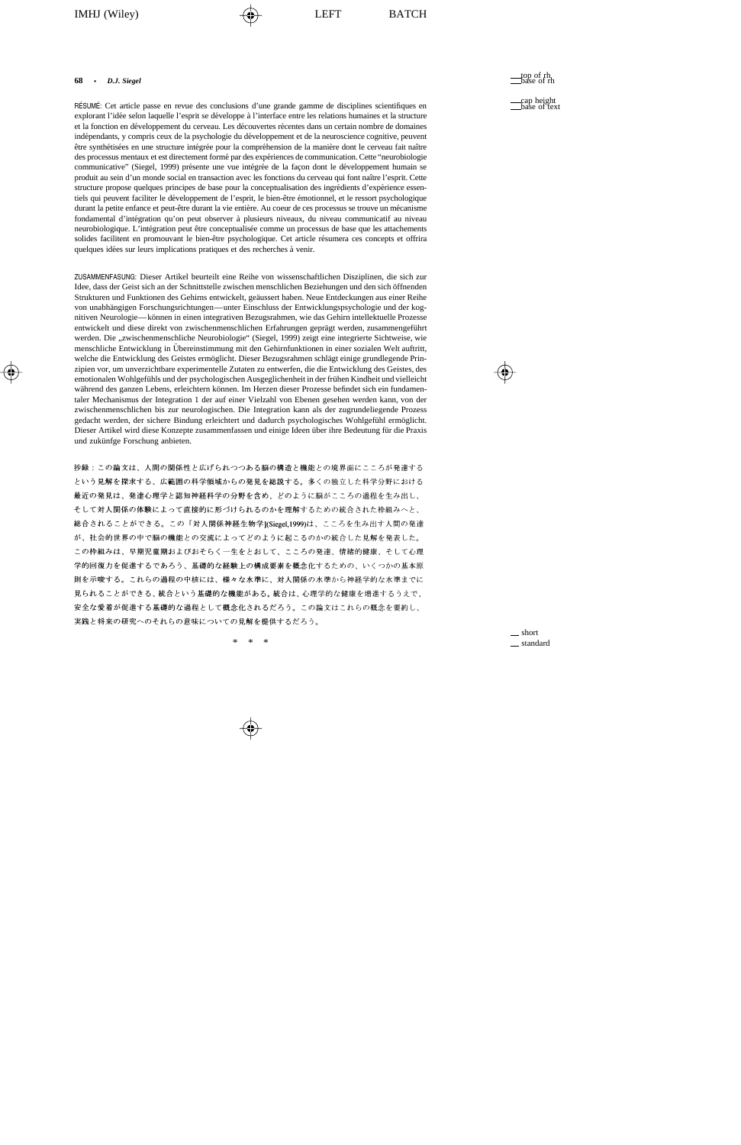RÉSUMÉ: Cet article passe en revue des conclusions d'une grande gamme de disciplines scientifiques en explorant l'idée selon laquelle l'esprit se développe à l'interface entre les relations humaines et la structure et la fonction en développement du cerveau. Les découvertes récentes dans un certain nombre de domaines inde´pendants, y compris ceux de la psychologie du de´veloppement et de la neuroscience cognitive, peuvent être synthétisées en une structure intégrée pour la compréhension de la manière dont le cerveau fait naître des processus mentaux et est directement formé par des expériences de communication. Cette "neurobiologie communicative" (Siegel, 1999) présente une vue intégrée de la façon dont le développement humain se produit au sein d'un monde social en transaction avec les fonctions du cerveau qui font naıˆtre l'esprit. Cette structure propose quelques principes de base pour la conceptualisation des ingrédients d'expérience essentiels qui peuvent faciliter le développement de l'esprit, le bien-être émotionnel, et le ressort psychologique durant la petite enfance et peut-être durant la vie entière. Au coeur de ces processus se trouve un mécanisme fondamental d'intégration qu'on peut observer à plusieurs niveaux, du niveau communicatif au niveau neurobiologique. L'intégration peut être conceptualisée comme un processus de base que les attachements solides facilitent en promouvant le bien-être psychologique. Cet article résumera ces concepts et offrira quelques idées sur leurs implications pratiques et des recherches à venir.

ZUSAMMENFASUNG: Dieser Artikel beurteilt eine Reihe von wissenschaftlichen Disziplinen, die sich zur Idee, dass der Geist sich an der Schnittstelle zwischen menschlichen Beziehungen und den sich öffnenden Strukturen und Funktionen des Gehirns entwickelt, geäussert haben. Neue Entdeckungen aus einer Reihe von unabhängigen Forschungsrichtungen— unter Einschluss der Entwicklungspsychologie und der kognitiven Neurologie— können in einen integrativen Bezugsrahmen, wie das Gehirn intellektuelle Prozesse entwickelt und diese direkt von zwischenmenschlichen Erfahrungen geprägt werden, zusammengeführt werden. Die "zwischenmenschliche Neurobiologie" (Siegel, 1999) zeigt eine integrierte Sichtweise, wie menschliche Entwicklung in Übereinstimmung mit den Gehirnfunktionen in einer sozialen Welt auftritt, welche die Entwicklung des Geistes ermöglicht. Dieser Bezugsrahmen schlägt einige grundlegende Prinzipien vor, um unverzichtbare experimentelle Zutaten zu entwerfen, die die Entwicklung des Geistes, des emotionalen Wohlgefühls und der psychologischen Ausgeglichenheit in der frühen Kindheit und vielleicht während des ganzen Lebens, erleichtern können. Im Herzen dieser Prozesse befindet sich ein fundamentaler Mechanismus der Integration 1 der auf einer Vielzahl von Ebenen gesehen werden kann, von der zwischenmenschlichen bis zur neurologischen. Die Integration kann als der zugrundeliegende Prozess gedacht werden, der sichere Bindung erleichtert und dadurch psychologisches Wohlgefühl ermöglicht. Dieser Artikel wird diese Konzepte zusammenfassen und einige Ideen über ihre Bedeutung für die Praxis und zukünfge Forschung anbieten.

抄録:この論文は、人間の関係性と広げられつつある脳の構造と機能との境界面にこころが発達する という見解を探求する、広範囲の科学領域からの発見を総説する。多くの独立した科学分野における 最近の発見は、発達心理学と認知神経科学の分野を含め、どのように脳がこころの過程を生み出し、 そして対人関係の体験によって直接的に形づけられるのかを理解するための統合された枠組みへと、 総合されることができる。この「対人関係神経生物学](Siegel,1999)は、こころを生み出す人間の発達 が、社会的世界の中で脳の機能との交流によってどのように起こるのかの統合した見解を発表した。 この枠組みは、早期児童期およびおそらく一生をとおして、こころの発達、情緒的健康、そして心理 学的回復力を促進するであろう、基礎的な経験上の構成要素を概念化するための、いくつかの基本原 則を示唆する。これらの過程の中核には、様々な水準に、対人関係の水準から神経学的な水準までに 見られることができる、統合という基礎的な機能がある。統合は、心理学的な健康を増進するうえで、 安全な愛着が促進する基礎的な過程として概念化されるだろう。この論文はこれらの概念を要約し、 実践と将来の研究へのそれらの意味についての見解を提供するだろう。

\*\*\*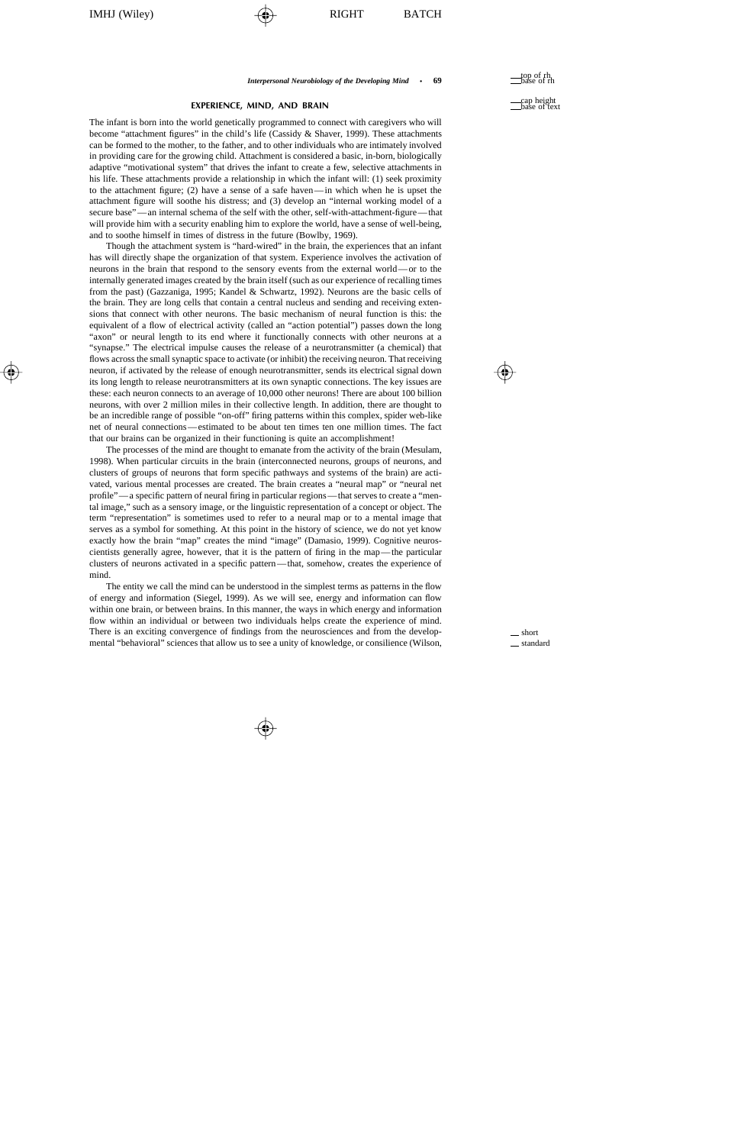## EXPERIENCE, MIND, AND BRAIN

The infant is born into the world genetically programmed to connect with caregivers who will become "attachment figures" in the child's life (Cassidy & Shaver, 1999). These attachments can be formed to the mother, to the father, and to other individuals who are intimately involved in providing care for the growing child. Attachment is considered a basic, in-born, biologically adaptive "motivational system" that drives the infant to create a few, selective attachments in his life. These attachments provide a relationship in which the infant will: (1) seek proximity to the attachment figure; (2) have a sense of a safe haven—in which when he is upset the attachment figure will soothe his distress; and (3) develop an "internal working model of a secure base"— an internal schema of the self with the other, self-with-attachment-figure—that will provide him with a security enabling him to explore the world, have a sense of well-being, and to soothe himself in times of distress in the future (Bowlby, 1969).

Though the attachment system is "hard-wired" in the brain, the experiences that an infant has will directly shape the organization of that system. Experience involves the activation of neurons in the brain that respond to the sensory events from the external world— or to the internally generated images created by the brain itself (such as our experience of recalling times from the past) (Gazzaniga, 1995; Kandel & Schwartz, 1992). Neurons are the basic cells of the brain. They are long cells that contain a central nucleus and sending and receiving extensions that connect with other neurons. The basic mechanism of neural function is this: the equivalent of a flow of electrical activity (called an "action potential") passes down the long "axon" or neural length to its end where it functionally connects with other neurons at a "synapse." The electrical impulse causes the release of a neurotransmitter (a chemical) that flows across the small synaptic space to activate (or inhibit) the receiving neuron. That receiving neuron, if activated by the release of enough neurotransmitter, sends its electrical signal down its long length to release neurotransmitters at its own synaptic connections. The key issues are these: each neuron connects to an average of 10,000 other neurons! There are about 100 billion neurons, with over 2 million miles in their collective length. In addition, there are thought to be an incredible range of possible "on-off" firing patterns within this complex, spider web-like net of neural connections— estimated to be about ten times ten one million times. The fact that our brains can be organized in their functioning is quite an accomplishment!

The processes of the mind are thought to emanate from the activity of the brain (Mesulam, 1998). When particular circuits in the brain (interconnected neurons, groups of neurons, and clusters of groups of neurons that form specific pathways and systems of the brain) are activated, various mental processes are created. The brain creates a "neural map" or "neural net profile"— a specific pattern of neural firing in particular regions—that serves to create a "mental image," such as a sensory image, or the linguistic representation of a concept or object. The term "representation" is sometimes used to refer to a neural map or to a mental image that serves as a symbol for something. At this point in the history of science, we do not yet know exactly how the brain "map" creates the mind "image" (Damasio, 1999). Cognitive neuroscientists generally agree, however, that it is the pattern of firing in the map—the particular clusters of neurons activated in a specific pattern—that, somehow, creates the experience of mind.

The entity we call the mind can be understood in the simplest terms as patterns in the flow of energy and information (Siegel, 1999). As we will see, energy and information can flow within one brain, or between brains. In this manner, the ways in which energy and information flow within an individual or between two individuals helps create the experience of mind. There is an exciting convergence of findings from the neurosciences and from the developmental "behavioral" sciences that allow us to see a unity of knowledge, or consilience (Wilson,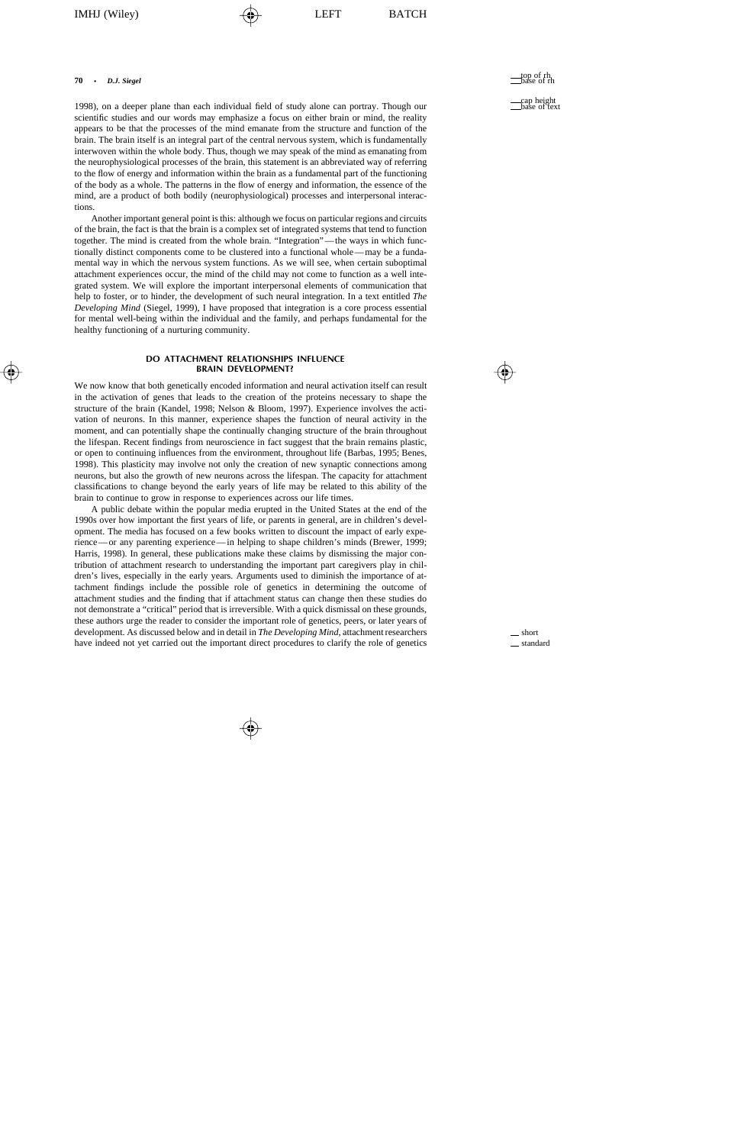1998), on a deeper plane than each individual field of study alone can portray. Though our scientific studies and our words may emphasize a focus on either brain or mind, the reality appears to be that the processes of the mind emanate from the structure and function of the brain. The brain itself is an integral part of the central nervous system, which is fundamentally interwoven within the whole body. Thus, though we may speak of the mind as emanating from the neurophysiological processes of the brain, this statement is an abbreviated way of referring to the flow of energy and information within the brain as a fundamental part of the functioning of the body as a whole. The patterns in the flow of energy and information, the essence of the mind, are a product of both bodily (neurophysiological) processes and interpersonal interactions.

Another important general point is this: although we focus on particular regions and circuits of the brain, the fact is that the brain is a complex set of integrated systems that tend to function together. The mind is created from the whole brain. "Integration"—the ways in which functionally distinct components come to be clustered into a functional whole—may be a fundamental way in which the nervous system functions. As we will see, when certain suboptimal attachment experiences occur, the mind of the child may not come to function as a well integrated system. We will explore the important interpersonal elements of communication that help to foster, or to hinder, the development of such neural integration. In a text entitled *The Developing Mind* (Siegel, 1999), I have proposed that integration is a core process essential for mental well-being within the individual and the family, and perhaps fundamental for the healthy functioning of a nurturing community.

# **DO ATTACHMENT RELATIONSHIPS INFLUENCE BRAIN DEVELOPMENT?**

We now know that both genetically encoded information and neural activation itself can result in the activation of genes that leads to the creation of the proteins necessary to shape the structure of the brain (Kandel, 1998; Nelson & Bloom, 1997). Experience involves the activation of neurons. In this manner, experience shapes the function of neural activity in the moment, and can potentially shape the continually changing structure of the brain throughout the lifespan. Recent findings from neuroscience in fact suggest that the brain remains plastic, or open to continuing influences from the environment, throughout life (Barbas, 1995; Benes, 1998). This plasticity may involve not only the creation of new synaptic connections among neurons, but also the growth of new neurons across the lifespan. The capacity for attachment classifications to change beyond the early years of life may be related to this ability of the brain to continue to grow in response to experiences across our life times.

A public debate within the popular media erupted in the United States at the end of the 1990s over how important the first years of life, or parents in general, are in children's development. The media has focused on a few books written to discount the impact of early experience— or any parenting experience—in helping to shape children's minds (Brewer, 1999; Harris, 1998). In general, these publications make these claims by dismissing the major contribution of attachment research to understanding the important part caregivers play in children's lives, especially in the early years. Arguments used to diminish the importance of attachment findings include the possible role of genetics in determining the outcome of attachment studies and the finding that if attachment status can change then these studies do not demonstrate a "critical" period that is irreversible. With a quick dismissal on these grounds, these authors urge the reader to consider the important role of genetics, peers, or later years of development. As discussed below and in detail in *The Developing Mind*, attachment researchers have indeed not yet carried out the important direct procedures to clarify the role of genetics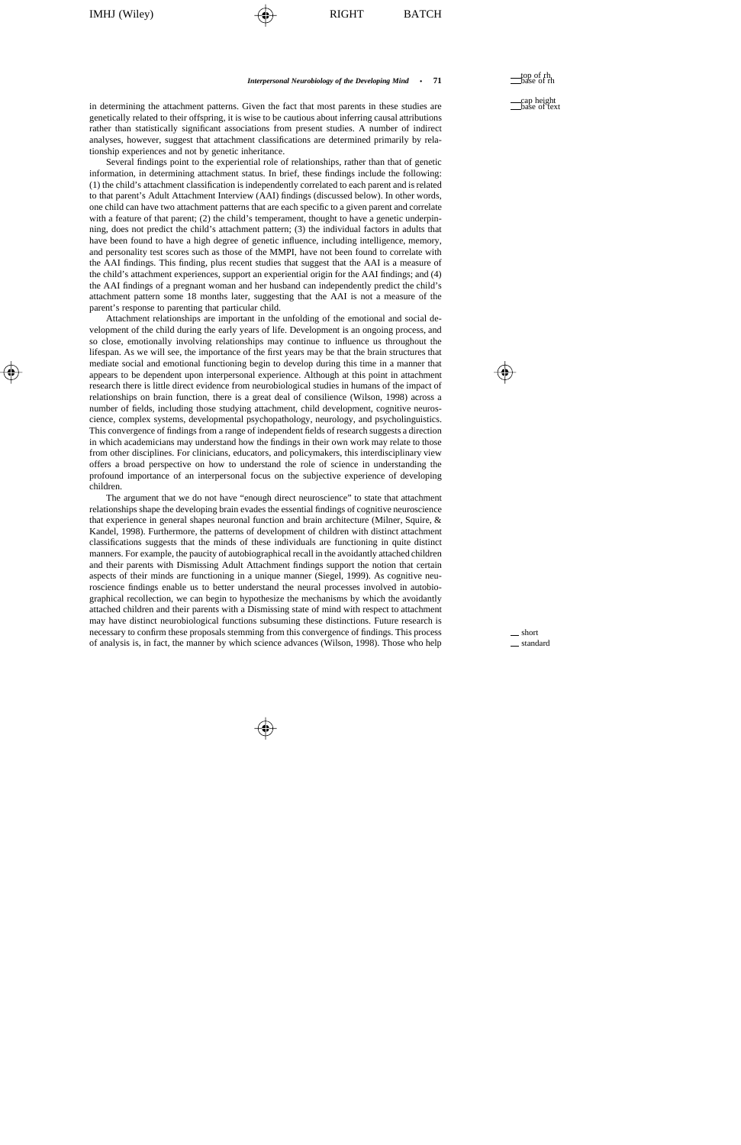in determining the attachment patterns. Given the fact that most parents in these studies are genetically related to their offspring, it is wise to be cautious about inferring causal attributions rather than statistically significant associations from present studies. A number of indirect analyses, however, suggest that attachment classifications are determined primarily by relationship experiences and not by genetic inheritance.

Several findings point to the experiential role of relationships, rather than that of genetic information, in determining attachment status. In brief, these findings include the following: (1) the child's attachment classification is independently correlated to each parent and is related to that parent's Adult Attachment Interview (AAI) findings (discussed below). In other words, one child can have two attachment patterns that are each specific to a given parent and correlate with a feature of that parent; (2) the child's temperament, thought to have a genetic underpinning, does not predict the child's attachment pattern; (3) the individual factors in adults that have been found to have a high degree of genetic influence, including intelligence, memory, and personality test scores such as those of the MMPI, have not been found to correlate with the AAI findings. This finding, plus recent studies that suggest that the AAI is a measure of the child's attachment experiences, support an experiential origin for the AAI findings; and (4) the AAI findings of a pregnant woman and her husband can independently predict the child's attachment pattern some 18 months later, suggesting that the AAI is not a measure of the parent's response to parenting that particular child.

Attachment relationships are important in the unfolding of the emotional and social development of the child during the early years of life. Development is an ongoing process, and so close, emotionally involving relationships may continue to influence us throughout the lifespan. As we will see, the importance of the first years may be that the brain structures that mediate social and emotional functioning begin to develop during this time in a manner that appears to be dependent upon interpersonal experience. Although at this point in attachment research there is little direct evidence from neurobiological studies in humans of the impact of relationships on brain function, there is a great deal of consilience (Wilson, 1998) across a number of fields, including those studying attachment, child development, cognitive neuroscience, complex systems, developmental psychopathology, neurology, and psycholinguistics. This convergence of findings from a range of independent fields of research suggests a direction in which academicians may understand how the findings in their own work may relate to those from other disciplines. For clinicians, educators, and policymakers, this interdisciplinary view offers a broad perspective on how to understand the role of science in understanding the profound importance of an interpersonal focus on the subjective experience of developing children.

The argument that we do not have "enough direct neuroscience" to state that attachment relationships shape the developing brain evades the essential findings of cognitive neuroscience that experience in general shapes neuronal function and brain architecture (Milner, Squire, & Kandel, 1998). Furthermore, the patterns of development of children with distinct attachment classifications suggests that the minds of these individuals are functioning in quite distinct manners. For example, the paucity of autobiographical recall in the avoidantly attached children and their parents with Dismissing Adult Attachment findings support the notion that certain aspects of their minds are functioning in a unique manner (Siegel, 1999). As cognitive neuroscience findings enable us to better understand the neural processes involved in autobiographical recollection, we can begin to hypothesize the mechanisms by which the avoidantly attached children and their parents with a Dismissing state of mind with respect to attachment may have distinct neurobiological functions subsuming these distinctions. Future research is necessary to confirm these proposals stemming from this convergence of findings. This process of analysis is, in fact, the manner by which science advances (Wilson, 1998). Those who help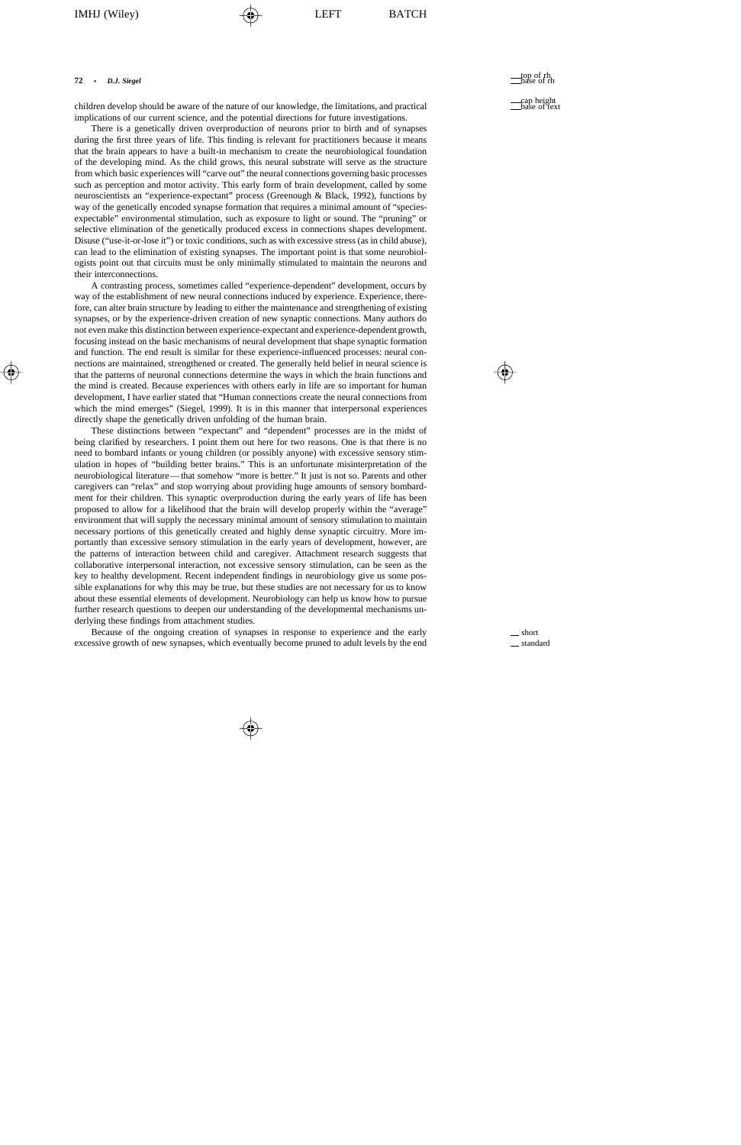children develop should be aware of the nature of our knowledge, the limitations, and practical implications of our current science, and the potential directions for future investigations.

There is a genetically driven overproduction of neurons prior to birth and of synapses during the first three years of life. This finding is relevant for practitioners because it means that the brain appears to have a built-in mechanism to create the neurobiological foundation of the developing mind. As the child grows, this neural substrate will serve as the structure from which basic experiences will "carve out" the neural connections governing basic processes such as perception and motor activity. This early form of brain development, called by some neuroscientists an "experience-expectant" process (Greenough & Black, 1992), functions by way of the genetically encoded synapse formation that requires a minimal amount of "speciesexpectable" environmental stimulation, such as exposure to light or sound. The "pruning" or selective elimination of the genetically produced excess in connections shapes development. Disuse ("use-it-or-lose it") or toxic conditions, such as with excessive stress (as in child abuse), can lead to the elimination of existing synapses. The important point is that some neurobiologists point out that circuits must be only minimally stimulated to maintain the neurons and their interconnections.

A contrasting process, sometimes called "experience-dependent" development, occurs by way of the establishment of new neural connections induced by experience. Experience, therefore, can alter brain structure by leading to either the maintenance and strengthening of existing synapses, or by the experience-driven creation of new synaptic connections. Many authors do not even make this distinction between experience-expectant and experience-dependent growth, focusing instead on the basic mechanisms of neural development that shape synaptic formation and function. The end result is similar for these experience-influenced processes: neural connections are maintained, strengthened or created. The generally held belief in neural science is that the patterns of neuronal connections determine the ways in which the brain functions and the mind is created. Because experiences with others early in life are so important for human development, I have earlier stated that "Human connections create the neural connections from which the mind emerges" (Siegel, 1999). It is in this manner that interpersonal experiences directly shape the genetically driven unfolding of the human brain.

These distinctions between "expectant" and "dependent" processes are in the midst of being clarified by researchers. I point them out here for two reasons. One is that there is no need to bombard infants or young children (or possibly anyone) with excessive sensory stimulation in hopes of "building better brains." This is an unfortunate misinterpretation of the neurobiological literature—that somehow "more is better." It just is not so. Parents and other caregivers can "relax" and stop worrying about providing huge amounts of sensory bombardment for their children. This synaptic overproduction during the early years of life has been proposed to allow for a likelihood that the brain will develop properly within the "average" environment that will supply the necessary minimal amount of sensory stimulation to maintain necessary portions of this genetically created and highly dense synaptic circuitry. More importantly than excessive sensory stimulation in the early years of development, however, are the patterns of interaction between child and caregiver. Attachment research suggests that collaborative interpersonal interaction, not excessive sensory stimulation, can be seen as the key to healthy development. Recent independent findings in neurobiology give us some possible explanations for why this may be true, but these studies are not necessary for us to know about these essential elements of development. Neurobiology can help us know how to pursue further research questions to deepen our understanding of the developmental mechanisms underlying these findings from attachment studies.

Because of the ongoing creation of synapses in response to experience and the early excessive growth of new synapses, which eventually become pruned to adult levels by the end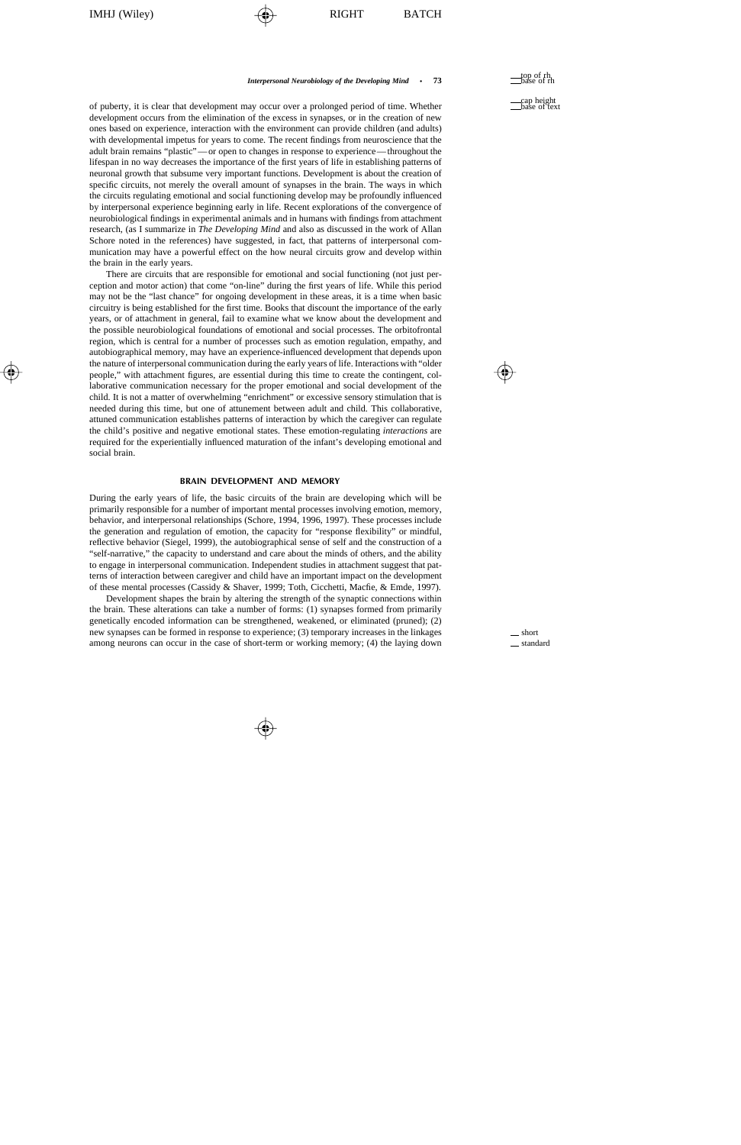of puberty, it is clear that development may occur over a prolonged period of time. Whether development occurs from the elimination of the excess in synapses, or in the creation of new ones based on experience, interaction with the environment can provide children (and adults) with developmental impetus for years to come. The recent findings from neuroscience that the adult brain remains "plastic"— or open to changes in response to experience—throughout the lifespan in no way decreases the importance of the first years of life in establishing patterns of neuronal growth that subsume very important functions. Development is about the creation of specific circuits, not merely the overall amount of synapses in the brain. The ways in which the circuits regulating emotional and social functioning develop may be profoundly influenced by interpersonal experience beginning early in life. Recent explorations of the convergence of neurobiological findings in experimental animals and in humans with findings from attachment research, (as I summarize in *The Developing Mind* and also as discussed in the work of Allan Schore noted in the references) have suggested, in fact, that patterns of interpersonal communication may have a powerful effect on the how neural circuits grow and develop within the brain in the early years.

There are circuits that are responsible for emotional and social functioning (not just perception and motor action) that come "on-line" during the first years of life. While this period may not be the "last chance" for ongoing development in these areas, it is a time when basic circuitry is being established for the first time. Books that discount the importance of the early years, or of attachment in general, fail to examine what we know about the development and the possible neurobiological foundations of emotional and social processes. The orbitofrontal region, which is central for a number of processes such as emotion regulation, empathy, and autobiographical memory, may have an experience-influenced development that depends upon the nature of interpersonal communication during the early years of life. Interactions with "older people," with attachment figures, are essential during this time to create the contingent, collaborative communication necessary for the proper emotional and social development of the child. It is not a matter of overwhelming "enrichment" or excessive sensory stimulation that is needed during this time, but one of attunement between adult and child. This collaborative, attuned communication establishes patterns of interaction by which the caregiver can regulate the child's positive and negative emotional states. These emotion-regulating *interactions* are required for the experientially influenced maturation of the infant's developing emotional and social brain.

## **BRAIN DEVELOPMENT AND MEMORY**

During the early years of life, the basic circuits of the brain are developing which will be primarily responsible for a number of important mental processes involving emotion, memory, behavior, and interpersonal relationships (Schore, 1994, 1996, 1997). These processes include the generation and regulation of emotion, the capacity for "response flexibility" or mindful, reflective behavior (Siegel, 1999), the autobiographical sense of self and the construction of a "self-narrative," the capacity to understand and care about the minds of others, and the ability to engage in interpersonal communication. Independent studies in attachment suggest that patterns of interaction between caregiver and child have an important impact on the development of these mental processes (Cassidy & Shaver, 1999; Toth, Cicchetti, Macfie, & Emde, 1997).

Development shapes the brain by altering the strength of the synaptic connections within the brain. These alterations can take a number of forms: (1) synapses formed from primarily genetically encoded information can be strengthened, weakened, or eliminated (pruned); (2) new synapses can be formed in response to experience; (3) temporary increases in the linkages among neurons can occur in the case of short-term or working memory; (4) the laying down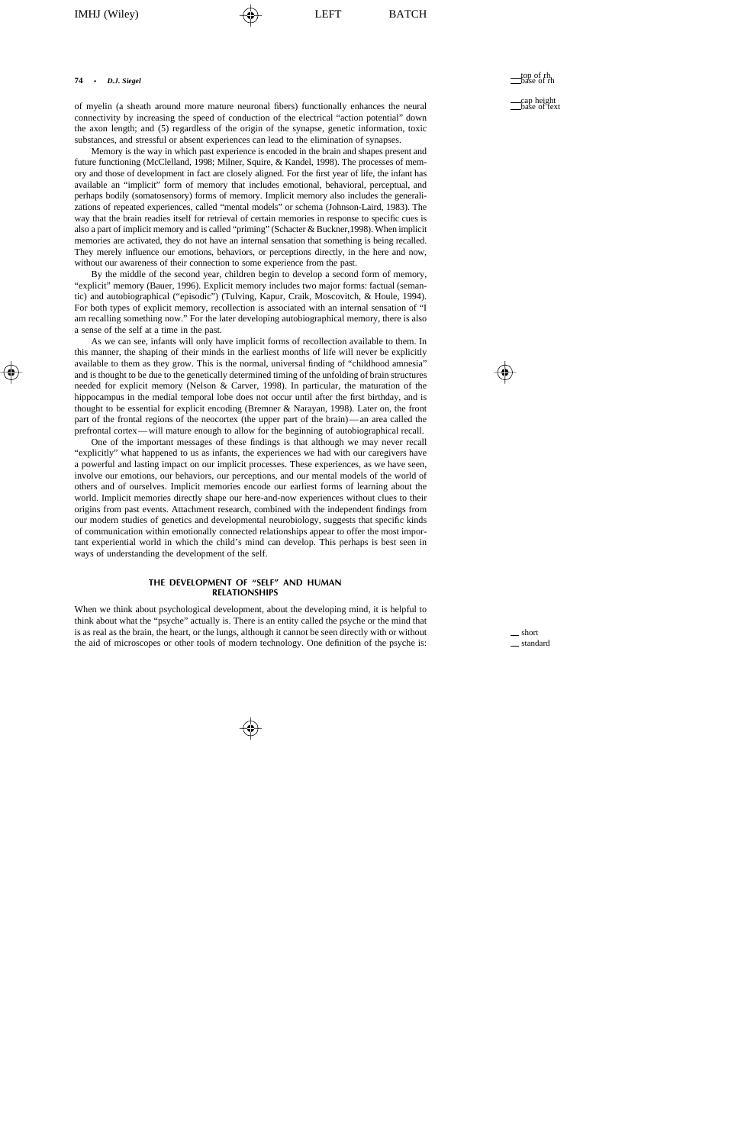of myelin (a sheath around more mature neuronal fibers) functionally enhances the neural connectivity by increasing the speed of conduction of the electrical "action potential" down the axon length; and (5) regardless of the origin of the synapse, genetic information, toxic substances, and stressful or absent experiences can lead to the elimination of synapses.

Memory is the way in which past experience is encoded in the brain and shapes present and future functioning (McClelland, 1998; Milner, Squire, & Kandel, 1998). The processes of memory and those of development in fact are closely aligned. For the first year of life, the infant has available an "implicit" form of memory that includes emotional, behavioral, perceptual, and perhaps bodily (somatosensory) forms of memory. Implicit memory also includes the generalizations of repeated experiences, called "mental models" or schema (Johnson-Laird, 1983). The way that the brain readies itself for retrieval of certain memories in response to specific cues is also a part of implicit memory and is called "priming" (Schacter & Buckner,1998). When implicit memories are activated, they do not have an internal sensation that something is being recalled. They merely influence our emotions, behaviors, or perceptions directly, in the here and now, without our awareness of their connection to some experience from the past.

By the middle of the second year, children begin to develop a second form of memory, "explicit" memory (Bauer, 1996). Explicit memory includes two major forms: factual (semantic) and autobiographical ("episodic") (Tulving, Kapur, Craik, Moscovitch, & Houle, 1994). For both types of explicit memory, recollection is associated with an internal sensation of "I am recalling something now." For the later developing autobiographical memory, there is also a sense of the self at a time in the past.

As we can see, infants will only have implicit forms of recollection available to them. In this manner, the shaping of their minds in the earliest months of life will never be explicitly available to them as they grow. This is the normal, universal finding of "childhood amnesia" and is thought to be due to the genetically determined timing of the unfolding of brain structures needed for explicit memory (Nelson & Carver, 1998). In particular, the maturation of the hippocampus in the medial temporal lobe does not occur until after the first birthday, and is thought to be essential for explicit encoding (Bremner & Narayan, 1998). Later on, the front part of the frontal regions of the neocortex (the upper part of the brain)— an area called the prefrontal cortex—will mature enough to allow for the beginning of autobiographical recall.

One of the important messages of these findings is that although we may never recall "explicitly" what happened to us as infants, the experiences we had with our caregivers have a powerful and lasting impact on our implicit processes. These experiences, as we have seen, involve our emotions, our behaviors, our perceptions, and our mental models of the world of others and of ourselves. Implicit memories encode our earliest forms of learning about the world. Implicit memories directly shape our here-and-now experiences without clues to their origins from past events. Attachment research, combined with the independent findings from our modern studies of genetics and developmental neurobiology, suggests that specific kinds of communication within emotionally connected relationships appear to offer the most important experiential world in which the child's mind can develop. This perhaps is best seen in ways of understanding the development of the self.

# **THE DEVELOPMENT OF "SELF" AND HUMAN RELATIONSHIPS**

When we think about psychological development, about the developing mind, it is helpful to think about what the "psyche" actually is. There is an entity called the psyche or the mind that is as real as the brain, the heart, or the lungs, although it cannot be seen directly with or without the aid of microscopes or other tools of modern technology. One definition of the psyche is: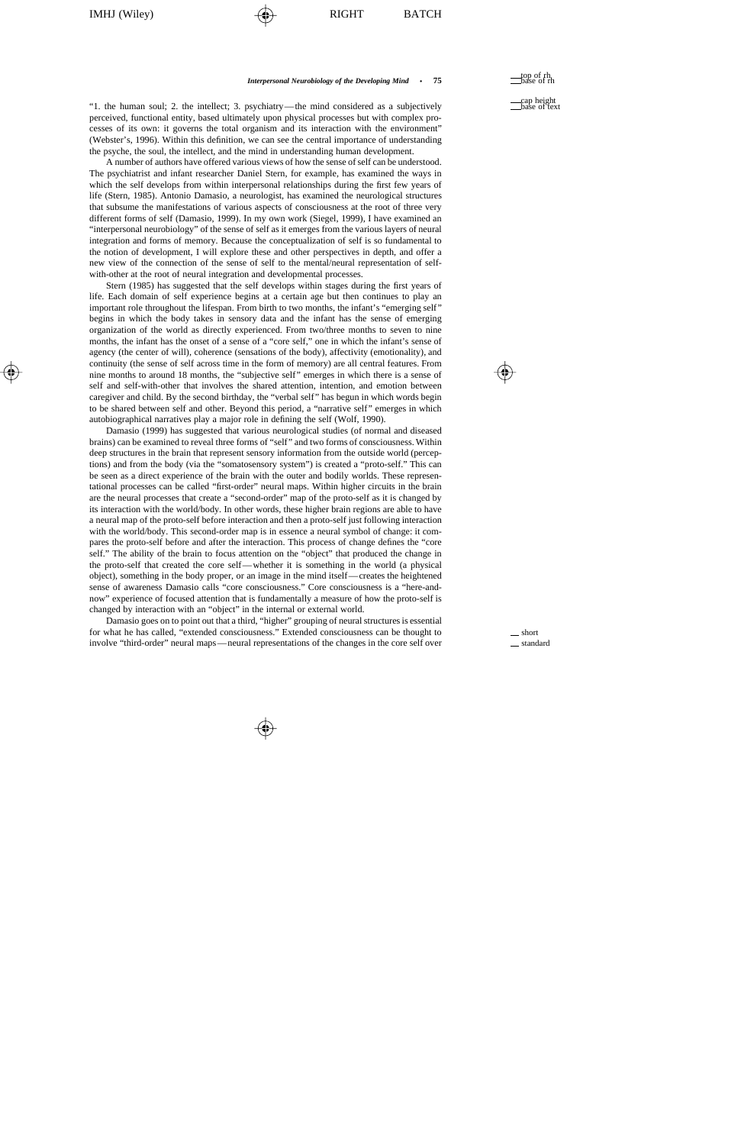"1. the human soul; 2. the intellect; 3. psychiatry—the mind considered as a subjectively perceived, functional entity, based ultimately upon physical processes but with complex processes of its own: it governs the total organism and its interaction with the environment" (Webster's, 1996). Within this definition, we can see the central importance of understanding the psyche, the soul, the intellect, and the mind in understanding human development.

A number of authors have offered various views of how the sense of self can be understood. The psychiatrist and infant researcher Daniel Stern, for example, has examined the ways in which the self develops from within interpersonal relationships during the first few years of life (Stern, 1985). Antonio Damasio, a neurologist, has examined the neurological structures that subsume the manifestations of various aspects of consciousness at the root of three very different forms of self (Damasio, 1999). In my own work (Siegel, 1999), I have examined an "interpersonal neurobiology" of the sense of self as it emerges from the various layers of neural integration and forms of memory. Because the conceptualization of self is so fundamental to the notion of development, I will explore these and other perspectives in depth, and offer a new view of the connection of the sense of self to the mental/neural representation of selfwith-other at the root of neural integration and developmental processes.

Stern (1985) has suggested that the self develops within stages during the first years of life. Each domain of self experience begins at a certain age but then continues to play an important role throughout the lifespan. From birth to two months, the infant's "emerging self" begins in which the body takes in sensory data and the infant has the sense of emerging organization of the world as directly experienced. From two/three months to seven to nine months, the infant has the onset of a sense of a "core self," one in which the infant's sense of agency (the center of will), coherence (sensations of the body), affectivity (emotionality), and continuity (the sense of self across time in the form of memory) are all central features. From nine months to around 18 months, the "subjective self" emerges in which there is a sense of self and self-with-other that involves the shared attention, intention, and emotion between caregiver and child. By the second birthday, the "verbal self" has begun in which words begin to be shared between self and other. Beyond this period, a "narrative self" emerges in which autobiographical narratives play a major role in defining the self (Wolf, 1990).

Damasio (1999) has suggested that various neurological studies (of normal and diseased brains) can be examined to reveal three forms of "self" and two forms of consciousness. Within deep structures in the brain that represent sensory information from the outside world (perceptions) and from the body (via the "somatosensory system") is created a "proto-self." This can be seen as a direct experience of the brain with the outer and bodily worlds. These representational processes can be called "first-order" neural maps. Within higher circuits in the brain are the neural processes that create a "second-order" map of the proto-self as it is changed by its interaction with the world/body. In other words, these higher brain regions are able to have a neural map of the proto-self before interaction and then a proto-self just following interaction with the world/body. This second-order map is in essence a neural symbol of change: it compares the proto-self before and after the interaction. This process of change defines the "core self." The ability of the brain to focus attention on the "object" that produced the change in the proto-self that created the core self—whether it is something in the world (a physical object), something in the body proper, or an image in the mind itself— creates the heightened sense of awareness Damasio calls "core consciousness." Core consciousness is a "here-andnow" experience of focused attention that is fundamentally a measure of how the proto-self is changed by interaction with an "object" in the internal or external world.

Damasio goes on to point out that a third, "higher" grouping of neural structures is essential for what he has called, "extended consciousness." Extended consciousness can be thought to involve "third-order" neural maps— neural representations of the changes in the core self over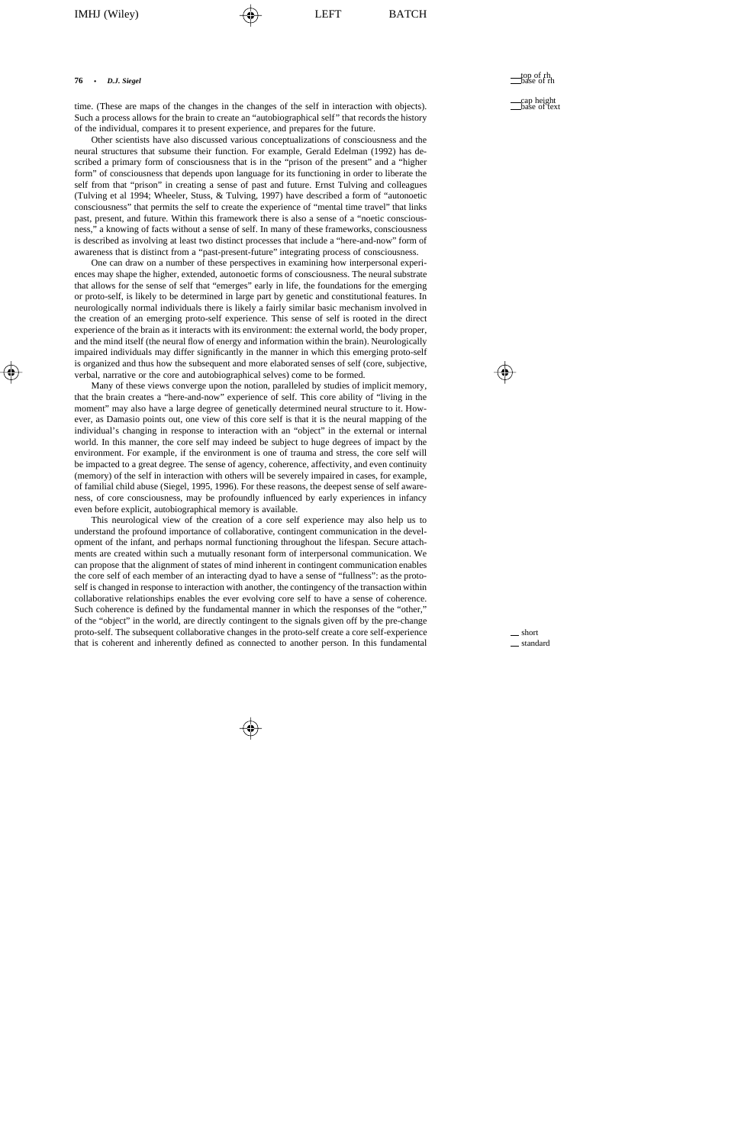time. (These are maps of the changes in the changes of the self in interaction with objects). Such a process allows for the brain to create an "autobiographical self" that records the history of the individual, compares it to present experience, and prepares for the future.

Other scientists have also discussed various conceptualizations of consciousness and the neural structures that subsume their function. For example, Gerald Edelman (1992) has described a primary form of consciousness that is in the "prison of the present" and a "higher form" of consciousness that depends upon language for its functioning in order to liberate the self from that "prison" in creating a sense of past and future. Ernst Tulving and colleagues (Tulving et al 1994; Wheeler, Stuss, & Tulving, 1997) have described a form of "autonoetic consciousness" that permits the self to create the experience of "mental time travel" that links past, present, and future. Within this framework there is also a sense of a "noetic consciousness," a knowing of facts without a sense of self. In many of these frameworks, consciousness is described as involving at least two distinct processes that include a "here-and-now" form of awareness that is distinct from a "past-present-future" integrating process of consciousness.

One can draw on a number of these perspectives in examining how interpersonal experiences may shape the higher, extended, autonoetic forms of consciousness. The neural substrate that allows for the sense of self that "emerges" early in life, the foundations for the emerging or proto-self, is likely to be determined in large part by genetic and constitutional features. In neurologically normal individuals there is likely a fairly similar basic mechanism involved in the creation of an emerging proto-self experience. This sense of self is rooted in the direct experience of the brain as it interacts with its environment: the external world, the body proper, and the mind itself (the neural flow of energy and information within the brain). Neurologically impaired individuals may differ significantly in the manner in which this emerging proto-self is organized and thus how the subsequent and more elaborated senses of self (core, subjective, verbal, narrative or the core and autobiographical selves) come to be formed.

Many of these views converge upon the notion, paralleled by studies of implicit memory, that the brain creates a "here-and-now" experience of self. This core ability of "living in the moment" may also have a large degree of genetically determined neural structure to it. However, as Damasio points out, one view of this core self is that it is the neural mapping of the individual's changing in response to interaction with an "object" in the external or internal world. In this manner, the core self may indeed be subject to huge degrees of impact by the environment. For example, if the environment is one of trauma and stress, the core self will be impacted to a great degree. The sense of agency, coherence, affectivity, and even continuity (memory) of the self in interaction with others will be severely impaired in cases, for example, of familial child abuse (Siegel, 1995, 1996). For these reasons, the deepest sense of self awareness, of core consciousness, may be profoundly influenced by early experiences in infancy even before explicit, autobiographical memory is available.

This neurological view of the creation of a core self experience may also help us to understand the profound importance of collaborative, contingent communication in the development of the infant, and perhaps normal functioning throughout the lifespan. Secure attachments are created within such a mutually resonant form of interpersonal communication. We can propose that the alignment of states of mind inherent in contingent communication enables the core self of each member of an interacting dyad to have a sense of "fullness": as the protoself is changed in response to interaction with another, the contingency of the transaction within collaborative relationships enables the ever evolving core self to have a sense of coherence. Such coherence is defined by the fundamental manner in which the responses of the "other," of the "object" in the world, are directly contingent to the signals given off by the pre-change proto-self. The subsequent collaborative changes in the proto-self create a core self-experience that is coherent and inherently defined as connected to another person. In this fundamental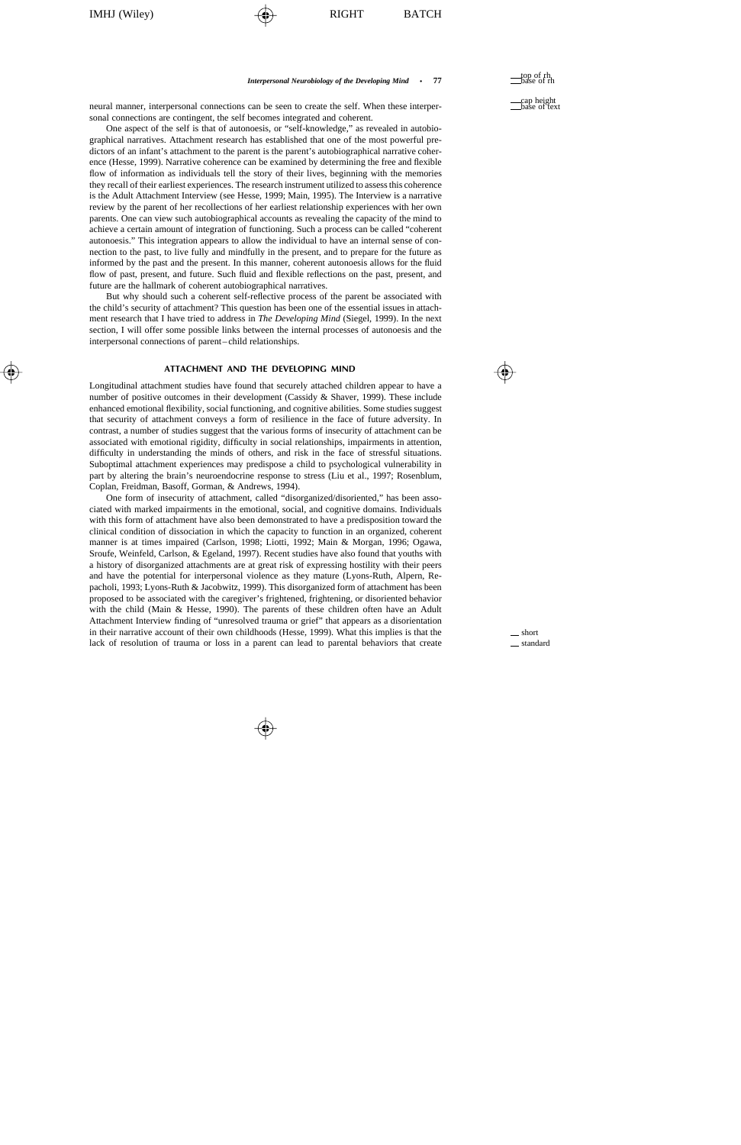neural manner, interpersonal connections can be seen to create the self. When these interpersonal connections are contingent, the self becomes integrated and coherent.

One aspect of the self is that of autonoesis, or "self-knowledge," as revealed in autobiographical narratives. Attachment research has established that one of the most powerful predictors of an infant's attachment to the parent is the parent's autobiographical narrative coherence (Hesse, 1999). Narrative coherence can be examined by determining the free and flexible flow of information as individuals tell the story of their lives, beginning with the memories they recall of their earliest experiences. The research instrument utilized to assess this coherence is the Adult Attachment Interview (see Hesse, 1999; Main, 1995). The Interview is a narrative review by the parent of her recollections of her earliest relationship experiences with her own parents. One can view such autobiographical accounts as revealing the capacity of the mind to achieve a certain amount of integration of functioning. Such a process can be called "coherent autonoesis." This integration appears to allow the individual to have an internal sense of connection to the past, to live fully and mindfully in the present, and to prepare for the future as informed by the past and the present. In this manner, coherent autonoesis allows for the fluid flow of past, present, and future. Such fluid and flexible reflections on the past, present, and future are the hallmark of coherent autobiographical narratives.

But why should such a coherent self-reflective process of the parent be associated with the child's security of attachment? This question has been one of the essential issues in attachment research that I have tried to address in *The Developing Mind* (Siegel, 1999). In the next section, I will offer some possible links between the internal processes of autonoesis and the interpersonal connections of parent – child relationships.

## **ATTACHMENT AND THE DEVELOPING MIND**

Longitudinal attachment studies have found that securely attached children appear to have a number of positive outcomes in their development (Cassidy  $\&$  Shaver, 1999). These include enhanced emotional flexibility, social functioning, and cognitive abilities. Some studies suggest that security of attachment conveys a form of resilience in the face of future adversity. In contrast, a number of studies suggest that the various forms of insecurity of attachment can be associated with emotional rigidity, difficulty in social relationships, impairments in attention, difficulty in understanding the minds of others, and risk in the face of stressful situations. Suboptimal attachment experiences may predispose a child to psychological vulnerability in part by altering the brain's neuroendocrine response to stress (Liu et al., 1997; Rosenblum, Coplan, Freidman, Basoff, Gorman, & Andrews, 1994).

One form of insecurity of attachment, called "disorganized/disoriented," has been associated with marked impairments in the emotional, social, and cognitive domains. Individuals with this form of attachment have also been demonstrated to have a predisposition toward the clinical condition of dissociation in which the capacity to function in an organized, coherent manner is at times impaired (Carlson, 1998; Liotti, 1992; Main & Morgan, 1996; Ogawa, Sroufe, Weinfeld, Carlson, & Egeland, 1997). Recent studies have also found that youths with a history of disorganized attachments are at great risk of expressing hostility with their peers and have the potential for interpersonal violence as they mature (Lyons-Ruth, Alpern, Repacholi, 1993; Lyons-Ruth & Jacobwitz, 1999). This disorganized form of attachment has been proposed to be associated with the caregiver's frightened, frightening, or disoriented behavior with the child (Main & Hesse, 1990). The parents of these children often have an Adult Attachment Interview finding of "unresolved trauma or grief" that appears as a disorientation in their narrative account of their own childhoods (Hesse, 1999). What this implies is that the lack of resolution of trauma or loss in a parent can lead to parental behaviors that create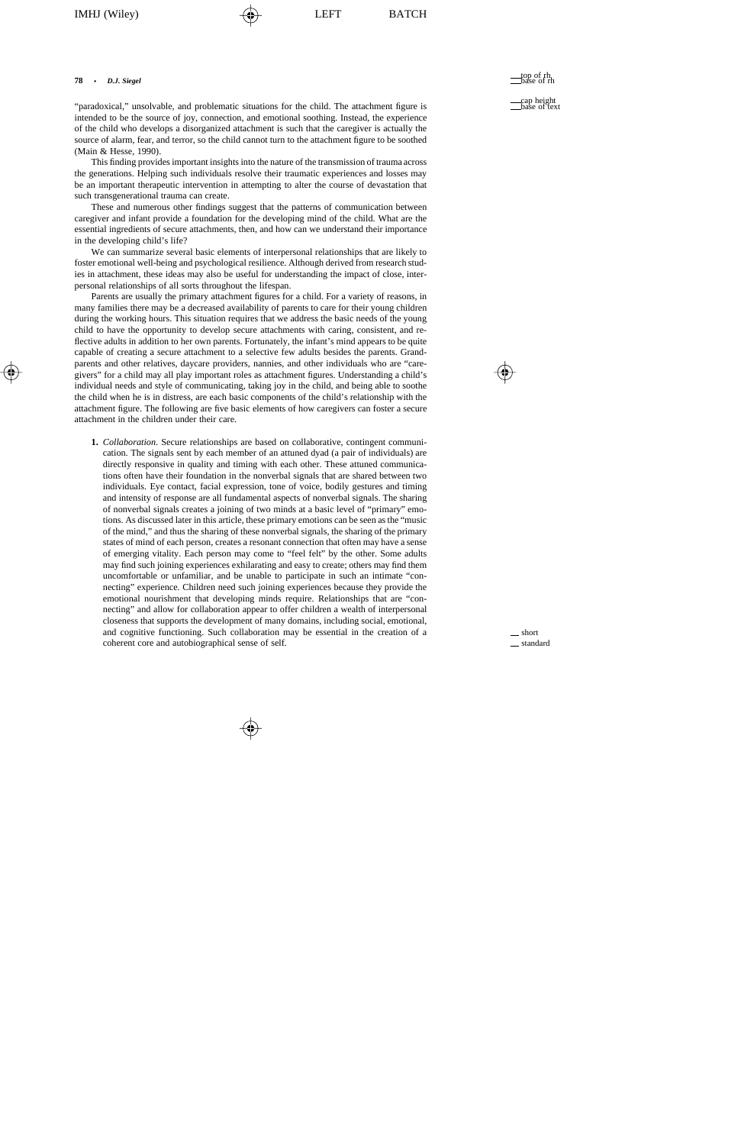"paradoxical," unsolvable, and problematic situations for the child. The attachment figure is intended to be the source of joy, connection, and emotional soothing. Instead, the experience of the child who develops a disorganized attachment is such that the caregiver is actually the source of alarm, fear, and terror, so the child cannot turn to the attachment figure to be soothed (Main & Hesse, 1990).

This finding provides important insights into the nature of the transmission of trauma across the generations. Helping such individuals resolve their traumatic experiences and losses may be an important therapeutic intervention in attempting to alter the course of devastation that such transgenerational trauma can create.

These and numerous other findings suggest that the patterns of communication between caregiver and infant provide a foundation for the developing mind of the child. What are the essential ingredients of secure attachments, then, and how can we understand their importance in the developing child's life?

We can summarize several basic elements of interpersonal relationships that are likely to foster emotional well-being and psychological resilience. Although derived from research studies in attachment, these ideas may also be useful for understanding the impact of close, interpersonal relationships of all sorts throughout the lifespan.

Parents are usually the primary attachment figures for a child. For a variety of reasons, in many families there may be a decreased availability of parents to care for their young children during the working hours. This situation requires that we address the basic needs of the young child to have the opportunity to develop secure attachments with caring, consistent, and reflective adults in addition to her own parents. Fortunately, the infant's mind appears to be quite capable of creating a secure attachment to a selective few adults besides the parents. Grandparents and other relatives, daycare providers, nannies, and other individuals who are "caregivers" for a child may all play important roles as attachment figures. Understanding a child's individual needs and style of communicating, taking joy in the child, and being able to soothe the child when he is in distress, are each basic components of the child's relationship with the attachment figure. The following are five basic elements of how caregivers can foster a secure attachment in the children under their care.

**1.** *Collaboration*. Secure relationships are based on collaborative, contingent communication. The signals sent by each member of an attuned dyad (a pair of individuals) are directly responsive in quality and timing with each other. These attuned communications often have their foundation in the nonverbal signals that are shared between two individuals. Eye contact, facial expression, tone of voice, bodily gestures and timing and intensity of response are all fundamental aspects of nonverbal signals. The sharing of nonverbal signals creates a joining of two minds at a basic level of "primary" emotions. As discussed later in this article, these primary emotions can be seen as the "music of the mind," and thus the sharing of these nonverbal signals, the sharing of the primary states of mind of each person, creates a resonant connection that often may have a sense of emerging vitality. Each person may come to "feel felt" by the other. Some adults may find such joining experiences exhilarating and easy to create; others may find them uncomfortable or unfamiliar, and be unable to participate in such an intimate "connecting" experience. Children need such joining experiences because they provide the emotional nourishment that developing minds require. Relationships that are "connecting" and allow for collaboration appear to offer children a wealth of interpersonal closeness that supports the development of many domains, including social, emotional, and cognitive functioning. Such collaboration may be essential in the creation of a coherent core and autobiographical sense of self.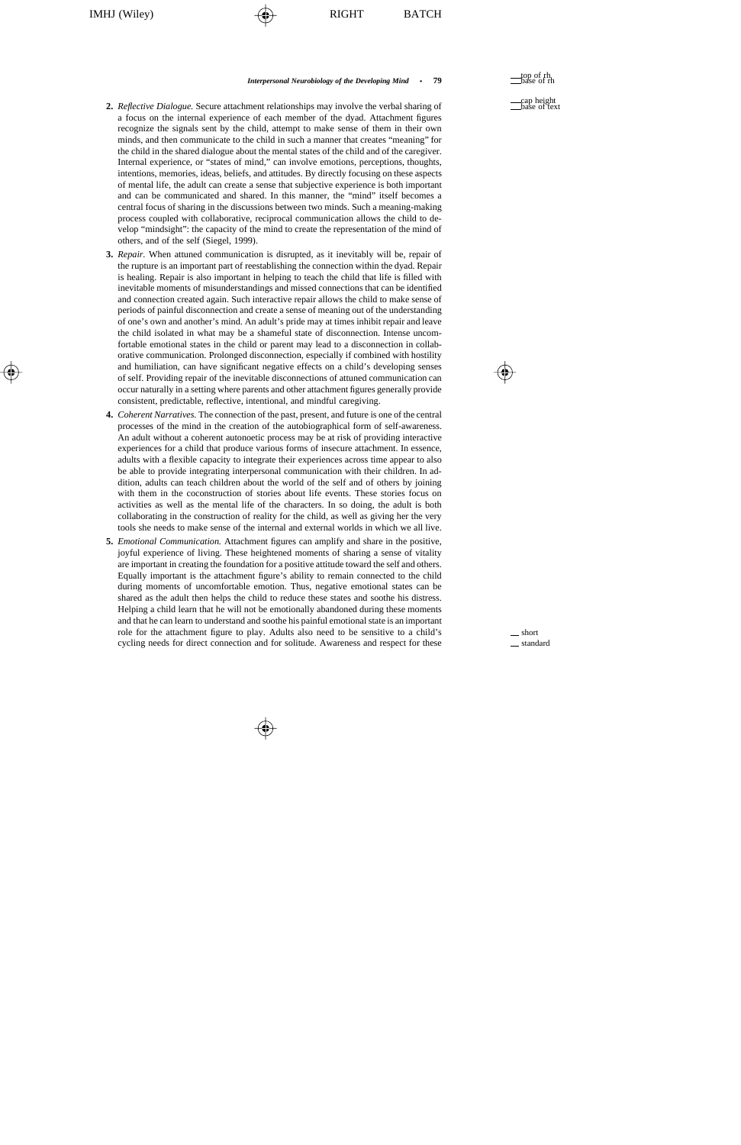- 2. *Reflective Dialogue.* Secure attachment relationships may involve the verbal sharing of a focus on the internal experience of each member of the dyad. Attachment figures recognize the signals sent by the child, attempt to make sense of them in their own minds, and then communicate to the child in such a manner that creates "meaning" for the child in the shared dialogue about the mental states of the child and of the caregiver. Internal experience, or "states of mind," can involve emotions, perceptions, thoughts, intentions, memories, ideas, beliefs, and attitudes. By directly focusing on these aspects of mental life, the adult can create a sense that subjective experience is both important and can be communicated and shared. In this manner, the "mind" itself becomes a central focus of sharing in the discussions between two minds. Such a meaning-making process coupled with collaborative, reciprocal communication allows the child to develop "mindsight": the capacity of the mind to create the representation of the mind of others, and of the self (Siegel, 1999).
- **3.** *Repair.* When attuned communication is disrupted, as it inevitably will be, repair of the rupture is an important part of reestablishing the connection within the dyad. Repair is healing. Repair is also important in helping to teach the child that life is filled with inevitable moments of misunderstandings and missed connections that can be identified and connection created again. Such interactive repair allows the child to make sense of periods of painful disconnection and create a sense of meaning out of the understanding of one's own and another's mind. An adult's pride may at times inhibit repair and leave the child isolated in what may be a shameful state of disconnection. Intense uncomfortable emotional states in the child or parent may lead to a disconnection in collaborative communication. Prolonged disconnection, especially if combined with hostility and humiliation, can have significant negative effects on a child's developing senses of self. Providing repair of the inevitable disconnections of attuned communication can occur naturally in a setting where parents and other attachment figures generally provide consistent, predictable, reflective, intentional, and mindful caregiving.
- **4.** *Coherent Narratives.* The connection of the past, present, and future is one of the central processes of the mind in the creation of the autobiographical form of self-awareness. An adult without a coherent autonoetic process may be at risk of providing interactive experiences for a child that produce various forms of insecure attachment. In essence, adults with a flexible capacity to integrate their experiences across time appear to also be able to provide integrating interpersonal communication with their children. In addition, adults can teach children about the world of the self and of others by joining with them in the coconstruction of stories about life events. These stories focus on activities as well as the mental life of the characters. In so doing, the adult is both collaborating in the construction of reality for the child, as well as giving her the very tools she needs to make sense of the internal and external worlds in which we all live.
- **5.** *Emotional Communication.* Attachment figures can amplify and share in the positive, joyful experience of living. These heightened moments of sharing a sense of vitality are important in creating the foundation for a positive attitude toward the self and others. Equally important is the attachment figure's ability to remain connected to the child during moments of uncomfortable emotion. Thus, negative emotional states can be shared as the adult then helps the child to reduce these states and soothe his distress. Helping a child learn that he will not be emotionally abandoned during these moments and that he can learn to understand and soothe his painful emotional state is an important role for the attachment figure to play. Adults also need to be sensitive to a child's cycling needs for direct connection and for solitude. Awareness and respect for these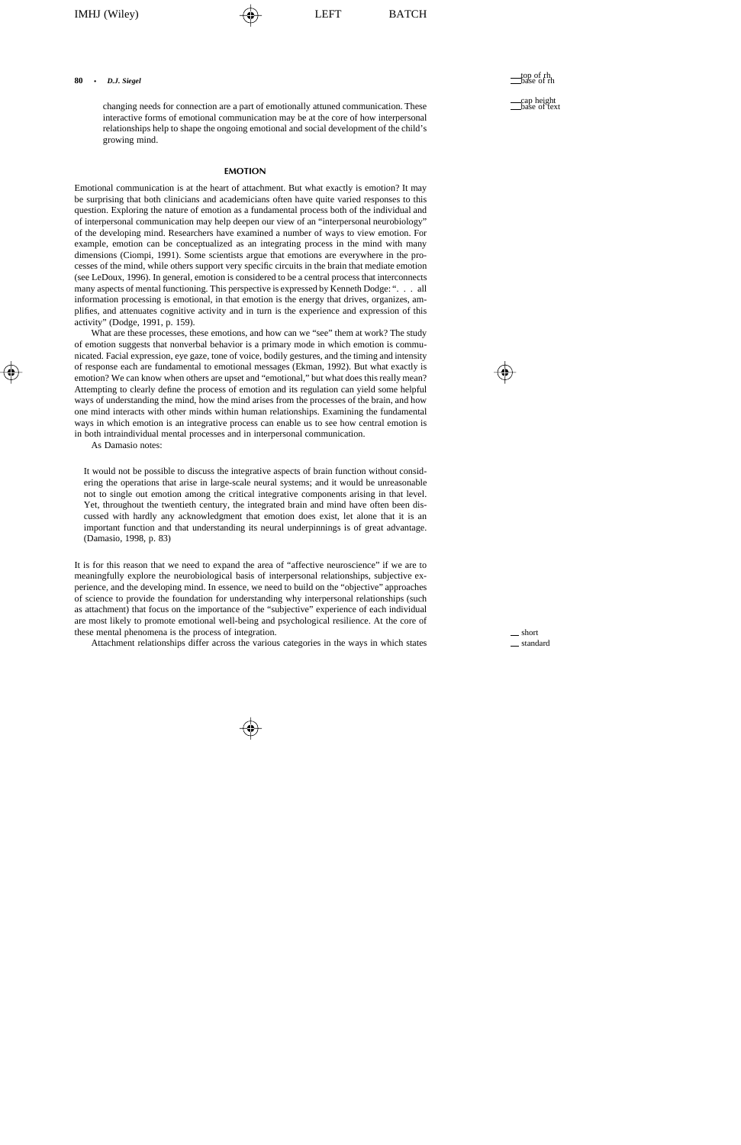changing needs for connection are a part of emotionally attuned communication. These interactive forms of emotional communication may be at the core of how interpersonal relationships help to shape the ongoing emotional and social development of the child's growing mind.

## **EMOTION**

Emotional communication is at the heart of attachment. But what exactly is emotion? It may be surprising that both clinicians and academicians often have quite varied responses to this question. Exploring the nature of emotion as a fundamental process both of the individual and of interpersonal communication may help deepen our view of an "interpersonal neurobiology" of the developing mind. Researchers have examined a number of ways to view emotion. For example, emotion can be conceptualized as an integrating process in the mind with many dimensions (Ciompi, 1991). Some scientists argue that emotions are everywhere in the processes of the mind, while others support very specific circuits in the brain that mediate emotion (see LeDoux, 1996). In general, emotion is considered to be a central process that interconnects many aspects of mental functioning. This perspective is expressed by Kenneth Dodge: ". . . all information processing is emotional, in that emotion is the energy that drives, organizes, amplifies, and attenuates cognitive activity and in turn is the experience and expression of this activity" (Dodge, 1991, p. 159).

What are these processes, these emotions, and how can we "see" them at work? The study of emotion suggests that nonverbal behavior is a primary mode in which emotion is communicated. Facial expression, eye gaze, tone of voice, bodily gestures, and the timing and intensity of response each are fundamental to emotional messages (Ekman, 1992). But what exactly is emotion? We can know when others are upset and "emotional," but what does this really mean? Attempting to clearly define the process of emotion and its regulation can yield some helpful ways of understanding the mind, how the mind arises from the processes of the brain, and how one mind interacts with other minds within human relationships. Examining the fundamental ways in which emotion is an integrative process can enable us to see how central emotion is in both intraindividual mental processes and in interpersonal communication.

As Damasio notes:

It would not be possible to discuss the integrative aspects of brain function without considering the operations that arise in large-scale neural systems; and it would be unreasonable not to single out emotion among the critical integrative components arising in that level. Yet, throughout the twentieth century, the integrated brain and mind have often been discussed with hardly any acknowledgment that emotion does exist, let alone that it is an important function and that understanding its neural underpinnings is of great advantage. (Damasio, 1998, p. 83)

It is for this reason that we need to expand the area of "affective neuroscience" if we are to meaningfully explore the neurobiological basis of interpersonal relationships, subjective experience, and the developing mind. In essence, we need to build on the "objective" approaches of science to provide the foundation for understanding why interpersonal relationships (such as attachment) that focus on the importance of the "subjective" experience of each individual are most likely to promote emotional well-being and psychological resilience. At the core of these mental phenomena is the process of integration.

Attachment relationships differ across the various categories in the ways in which states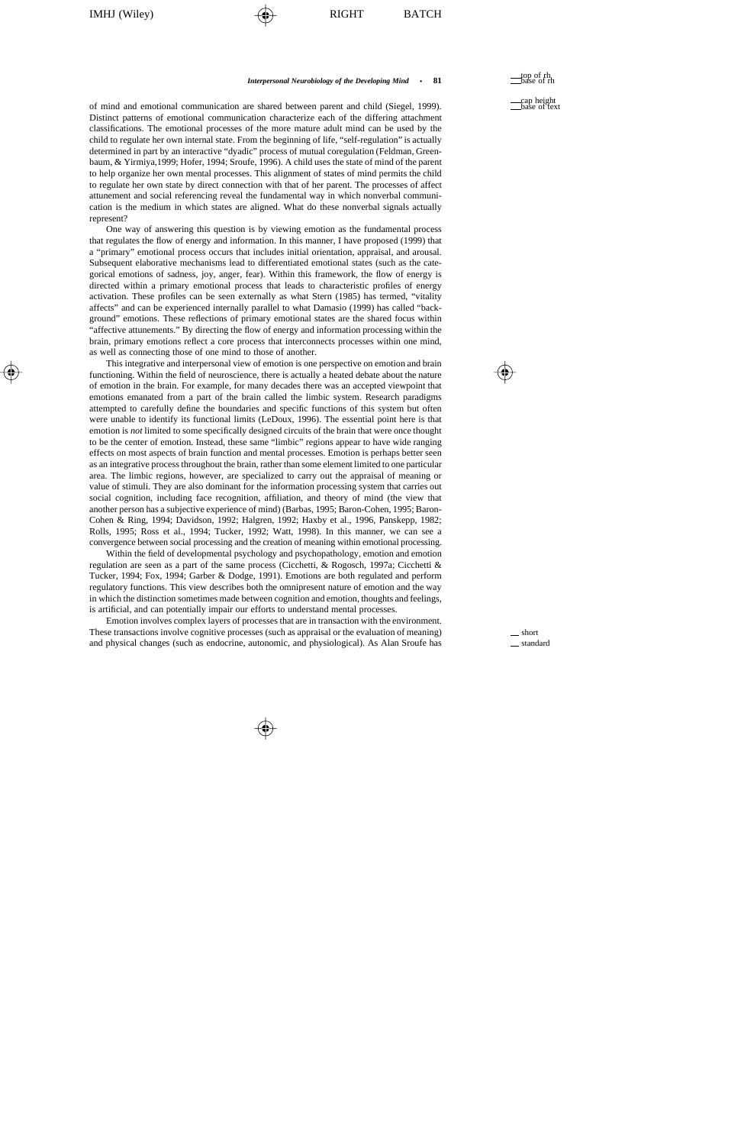of mind and emotional communication are shared between parent and child (Siegel, 1999). Distinct patterns of emotional communication characterize each of the differing attachment classifications. The emotional processes of the more mature adult mind can be used by the child to regulate her own internal state. From the beginning of life, "self-regulation" is actually determined in part by an interactive "dyadic" process of mutual coregulation (Feldman, Greenbaum, & Yirmiya,1999; Hofer, 1994; Sroufe, 1996). A child uses the state of mind of the parent to help organize her own mental processes. This alignment of states of mind permits the child to regulate her own state by direct connection with that of her parent. The processes of affect attunement and social referencing reveal the fundamental way in which nonverbal communication is the medium in which states are aligned. What do these nonverbal signals actually represent?

One way of answering this question is by viewing emotion as the fundamental process that regulates the flow of energy and information. In this manner, I have proposed (1999) that a "primary" emotional process occurs that includes initial orientation, appraisal, and arousal. Subsequent elaborative mechanisms lead to differentiated emotional states (such as the categorical emotions of sadness, joy, anger, fear). Within this framework, the flow of energy is directed within a primary emotional process that leads to characteristic profiles of energy activation. These profiles can be seen externally as what Stern (1985) has termed, "vitality affects" and can be experienced internally parallel to what Damasio (1999) has called "background" emotions. These reflections of primary emotional states are the shared focus within "affective attunements." By directing the flow of energy and information processing within the brain, primary emotions reflect a core process that interconnects processes within one mind, as well as connecting those of one mind to those of another.

This integrative and interpersonal view of emotion is one perspective on emotion and brain functioning. Within the field of neuroscience, there is actually a heated debate about the nature of emotion in the brain. For example, for many decades there was an accepted viewpoint that emotions emanated from a part of the brain called the limbic system. Research paradigms attempted to carefully define the boundaries and specific functions of this system but often were unable to identify its functional limits (LeDoux, 1996). The essential point here is that emotion is *not* limited to some specifically designed circuits of the brain that were once thought to be the center of emotion. Instead, these same "limbic" regions appear to have wide ranging effects on most aspects of brain function and mental processes. Emotion is perhaps better seen as an integrative process throughout the brain, rather than some element limited to one particular area. The limbic regions, however, are specialized to carry out the appraisal of meaning or value of stimuli. They are also dominant for the information processing system that carries out social cognition, including face recognition, affiliation, and theory of mind (the view that another person has a subjective experience of mind) (Barbas, 1995; Baron-Cohen, 1995; Baron-Cohen & Ring, 1994; Davidson, 1992; Halgren, 1992; Haxby et al., 1996, Panskepp, 1982; Rolls, 1995; Ross et al., 1994; Tucker, 1992; Watt, 1998). In this manner, we can see a convergence between social processing and the creation of meaning within emotional processing.

Within the field of developmental psychology and psychopathology, emotion and emotion regulation are seen as a part of the same process (Cicchetti, & Rogosch, 1997a; Cicchetti & Tucker, 1994; Fox, 1994; Garber & Dodge, 1991). Emotions are both regulated and perform regulatory functions. This view describes both the omnipresent nature of emotion and the way in which the distinction sometimes made between cognition and emotion, thoughts and feelings, is artificial, and can potentially impair our efforts to understand mental processes.

Emotion involves complex layers of processes that are in transaction with the environment. These transactions involve cognitive processes (such as appraisal or the evaluation of meaning) and physical changes (such as endocrine, autonomic, and physiological). As Alan Sroufe has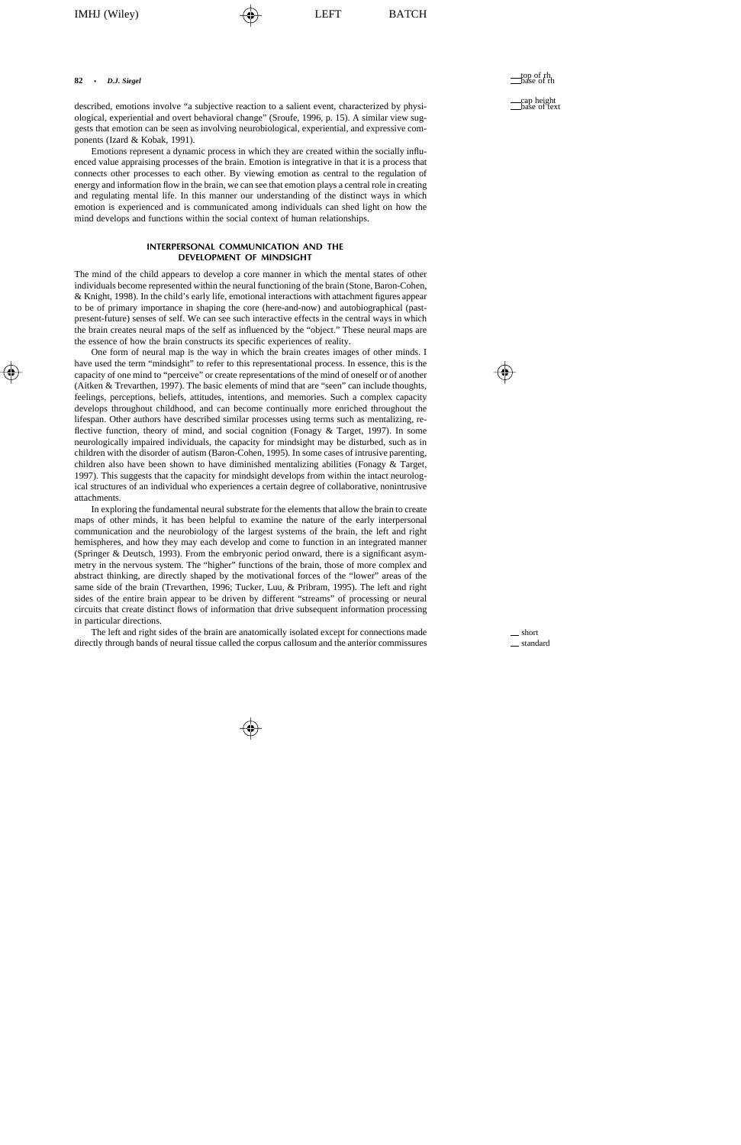described, emotions involve "a subjective reaction to a salient event, characterized by physiological, experiential and overt behavioral change" (Sroufe, 1996, p. 15). A similar view suggests that emotion can be seen as involving neurobiological, experiential, and expressive components (Izard & Kobak, 1991).

Emotions represent a dynamic process in which they are created within the socially influenced value appraising processes of the brain. Emotion is integrative in that it is a process that connects other processes to each other. By viewing emotion as central to the regulation of energy and information flow in the brain, we can see that emotion plays a central role in creating and regulating mental life. In this manner our understanding of the distinct ways in which emotion is experienced and is communicated among individuals can shed light on how the mind develops and functions within the social context of human relationships.

# **INTERPERSONAL COMMUNICATION AND THE DEVELOPMENT OF MINDSIGHT**

The mind of the child appears to develop a core manner in which the mental states of other individuals become represented within the neural functioning of the brain (Stone, Baron-Cohen, & Knight, 1998). In the child's early life, emotional interactions with attachment figures appear to be of primary importance in shaping the core (here-and-now) and autobiographical (pastpresent-future) senses of self. We can see such interactive effects in the central ways in which the brain creates neural maps of the self as influenced by the "object." These neural maps are the essence of how the brain constructs its specific experiences of reality.

One form of neural map is the way in which the brain creates images of other minds. I have used the term "mindsight" to refer to this representational process. In essence, this is the capacity of one mind to "perceive" or create representations of the mind of oneself or of another (Aitken & Trevarthen, 1997). The basic elements of mind that are "seen" can include thoughts, feelings, perceptions, beliefs, attitudes, intentions, and memories. Such a complex capacity develops throughout childhood, and can become continually more enriched throughout the lifespan. Other authors have described similar processes using terms such as mentalizing, reflective function, theory of mind, and social cognition (Fonagy & Target, 1997). In some neurologically impaired individuals, the capacity for mindsight may be disturbed, such as in children with the disorder of autism (Baron-Cohen, 1995). In some cases of intrusive parenting, children also have been shown to have diminished mentalizing abilities (Fonagy  $\&$  Target, 1997). This suggests that the capacity for mindsight develops from within the intact neurological structures of an individual who experiences a certain degree of collaborative, nonintrusive attachments.

In exploring the fundamental neural substrate for the elements that allow the brain to create maps of other minds, it has been helpful to examine the nature of the early interpersonal communication and the neurobiology of the largest systems of the brain, the left and right hemispheres, and how they may each develop and come to function in an integrated manner (Springer & Deutsch, 1993). From the embryonic period onward, there is a significant asymmetry in the nervous system. The "higher" functions of the brain, those of more complex and abstract thinking, are directly shaped by the motivational forces of the "lower" areas of the same side of the brain (Trevarthen, 1996; Tucker, Luu, & Pribram, 1995). The left and right sides of the entire brain appear to be driven by different "streams" of processing or neural circuits that create distinct flows of information that drive subsequent information processing in particular directions.

The left and right sides of the brain are anatomically isolated except for connections made directly through bands of neural tissue called the corpus callosum and the anterior commissures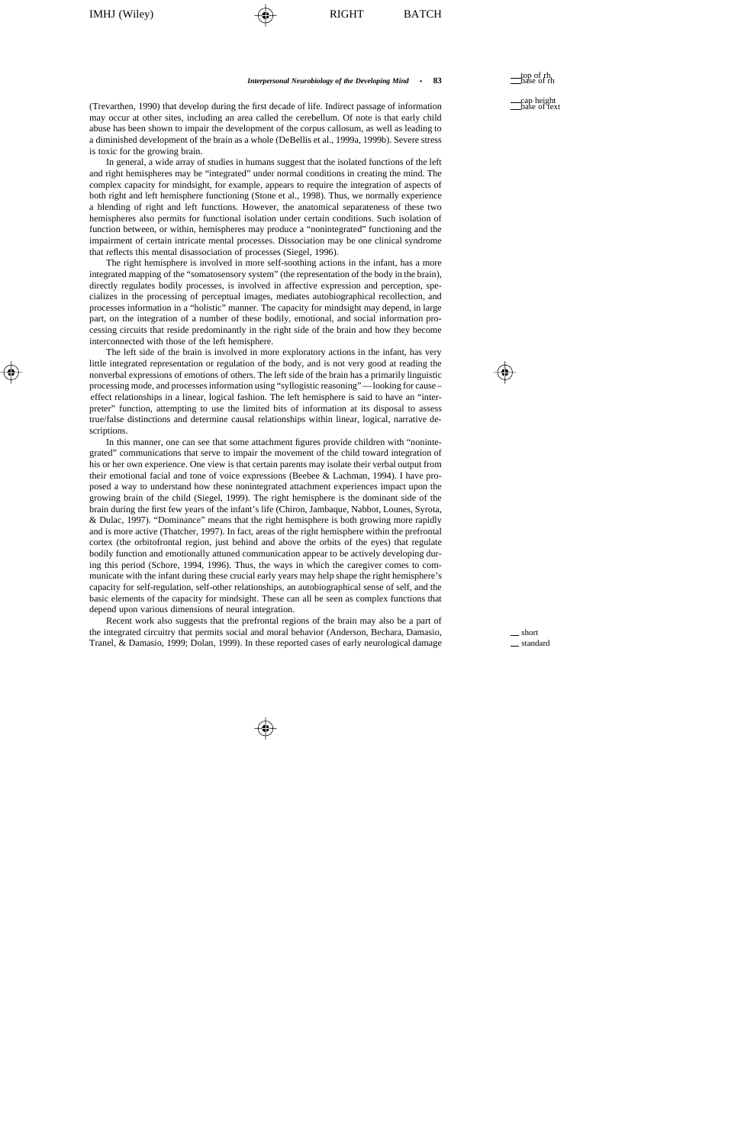(Trevarthen, 1990) that develop during the first decade of life. Indirect passage of information may occur at other sites, including an area called the cerebellum. Of note is that early child abuse has been shown to impair the development of the corpus callosum, as well as leading to a diminished development of the brain as a whole (DeBellis et al., 1999a, 1999b). Severe stress is toxic for the growing brain.

In general, a wide array of studies in humans suggest that the isolated functions of the left and right hemispheres may be "integrated" under normal conditions in creating the mind. The complex capacity for mindsight, for example, appears to require the integration of aspects of both right and left hemisphere functioning (Stone et al., 1998). Thus, we normally experience a blending of right and left functions. However, the anatomical separateness of these two hemispheres also permits for functional isolation under certain conditions. Such isolation of function between, or within, hemispheres may produce a "nonintegrated" functioning and the impairment of certain intricate mental processes. Dissociation may be one clinical syndrome that reflects this mental disassociation of processes (Siegel, 1996).

The right hemisphere is involved in more self-soothing actions in the infant, has a more integrated mapping of the "somatosensory system" (the representation of the body in the brain), directly regulates bodily processes, is involved in affective expression and perception, specializes in the processing of perceptual images, mediates autobiographical recollection, and processes information in a "holistic" manner. The capacity for mindsight may depend, in large part, on the integration of a number of these bodily, emotional, and social information processing circuits that reside predominantly in the right side of the brain and how they become interconnected with those of the left hemisphere.

The left side of the brain is involved in more exploratory actions in the infant, has very little integrated representation or regulation of the body, and is not very good at reading the nonverbal expressions of emotions of others. The left side of the brain has a primarily linguistic processing mode, and processes information using "syllogistic reasoning"—looking for cause – effect relationships in a linear, logical fashion. The left hemisphere is said to have an "interpreter" function, attempting to use the limited bits of information at its disposal to assess true/false distinctions and determine causal relationships within linear, logical, narrative descriptions.

In this manner, one can see that some attachment figures provide children with "nonintegrated" communications that serve to impair the movement of the child toward integration of his or her own experience. One view is that certain parents may isolate their verbal output from their emotional facial and tone of voice expressions (Beebee & Lachman, 1994). I have proposed a way to understand how these nonintegrated attachment experiences impact upon the growing brain of the child (Siegel, 1999). The right hemisphere is the dominant side of the brain during the first few years of the infant's life (Chiron, Jambaque, Nabbot, Lounes, Syrota, & Dulac, 1997). "Dominance" means that the right hemisphere is both growing more rapidly and is more active (Thatcher, 1997). In fact, areas of the right hemisphere within the prefrontal cortex (the orbitofrontal region, just behind and above the orbits of the eyes) that regulate bodily function and emotionally attuned communication appear to be actively developing during this period (Schore, 1994, 1996). Thus, the ways in which the caregiver comes to communicate with the infant during these crucial early years may help shape the right hemisphere's capacity for self-regulation, self-other relationships, an autobiographical sense of self, and the basic elements of the capacity for mindsight. These can all be seen as complex functions that depend upon various dimensions of neural integration.

Recent work also suggests that the prefrontal regions of the brain may also be a part of the integrated circuitry that permits social and moral behavior (Anderson, Bechara, Damasio, Tranel, & Damasio, 1999; Dolan, 1999). In these reported cases of early neurological damage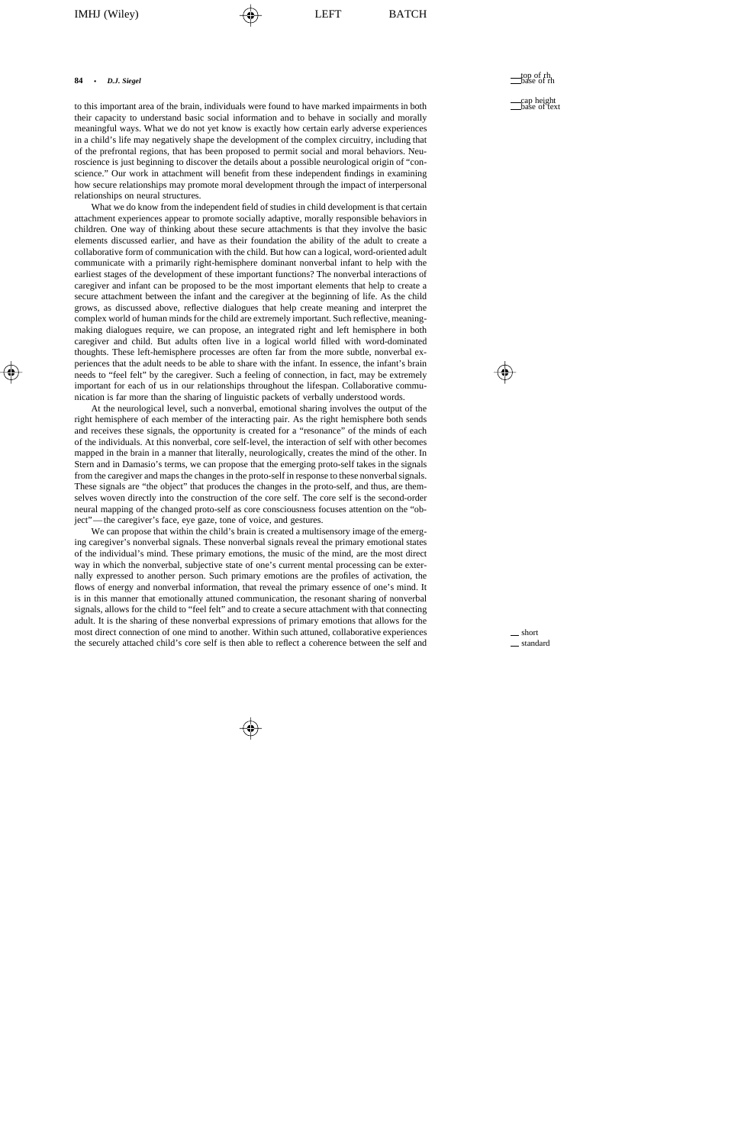to this important area of the brain, individuals were found to have marked impairments in both their capacity to understand basic social information and to behave in socially and morally meaningful ways. What we do not yet know is exactly how certain early adverse experiences in a child's life may negatively shape the development of the complex circuitry, including that of the prefrontal regions, that has been proposed to permit social and moral behaviors. Neuroscience is just beginning to discover the details about a possible neurological origin of "conscience." Our work in attachment will benefit from these independent findings in examining how secure relationships may promote moral development through the impact of interpersonal relationships on neural structures.

What we do know from the independent field of studies in child development is that certain attachment experiences appear to promote socially adaptive, morally responsible behaviors in children. One way of thinking about these secure attachments is that they involve the basic elements discussed earlier, and have as their foundation the ability of the adult to create a collaborative form of communication with the child. But how can a logical, word-oriented adult communicate with a primarily right-hemisphere dominant nonverbal infant to help with the earliest stages of the development of these important functions? The nonverbal interactions of caregiver and infant can be proposed to be the most important elements that help to create a secure attachment between the infant and the caregiver at the beginning of life. As the child grows, as discussed above, reflective dialogues that help create meaning and interpret the complex world of human minds for the child are extremely important. Such reflective, meaningmaking dialogues require, we can propose, an integrated right and left hemisphere in both caregiver and child. But adults often live in a logical world filled with word-dominated thoughts. These left-hemisphere processes are often far from the more subtle, nonverbal experiences that the adult needs to be able to share with the infant. In essence, the infant's brain needs to "feel felt" by the caregiver. Such a feeling of connection, in fact, may be extremely important for each of us in our relationships throughout the lifespan. Collaborative communication is far more than the sharing of linguistic packets of verbally understood words.

At the neurological level, such a nonverbal, emotional sharing involves the output of the right hemisphere of each member of the interacting pair. As the right hemisphere both sends and receives these signals, the opportunity is created for a "resonance" of the minds of each of the individuals. At this nonverbal, core self-level, the interaction of self with other becomes mapped in the brain in a manner that literally, neurologically, creates the mind of the other. In Stern and in Damasio's terms, we can propose that the emerging proto-self takes in the signals from the caregiver and maps the changes in the proto-self in response to these nonverbal signals. These signals are "the object" that produces the changes in the proto-self, and thus, are themselves woven directly into the construction of the core self. The core self is the second-order neural mapping of the changed proto-self as core consciousness focuses attention on the "object"—the caregiver's face, eye gaze, tone of voice, and gestures.

We can propose that within the child's brain is created a multisensory image of the emerging caregiver's nonverbal signals. These nonverbal signals reveal the primary emotional states of the individual's mind. These primary emotions, the music of the mind, are the most direct way in which the nonverbal, subjective state of one's current mental processing can be externally expressed to another person. Such primary emotions are the profiles of activation, the flows of energy and nonverbal information, that reveal the primary essence of one's mind. It is in this manner that emotionally attuned communication, the resonant sharing of nonverbal signals, allows for the child to "feel felt" and to create a secure attachment with that connecting adult. It is the sharing of these nonverbal expressions of primary emotions that allows for the most direct connection of one mind to another. Within such attuned, collaborative experiences the securely attached child's core self is then able to reflect a coherence between the self and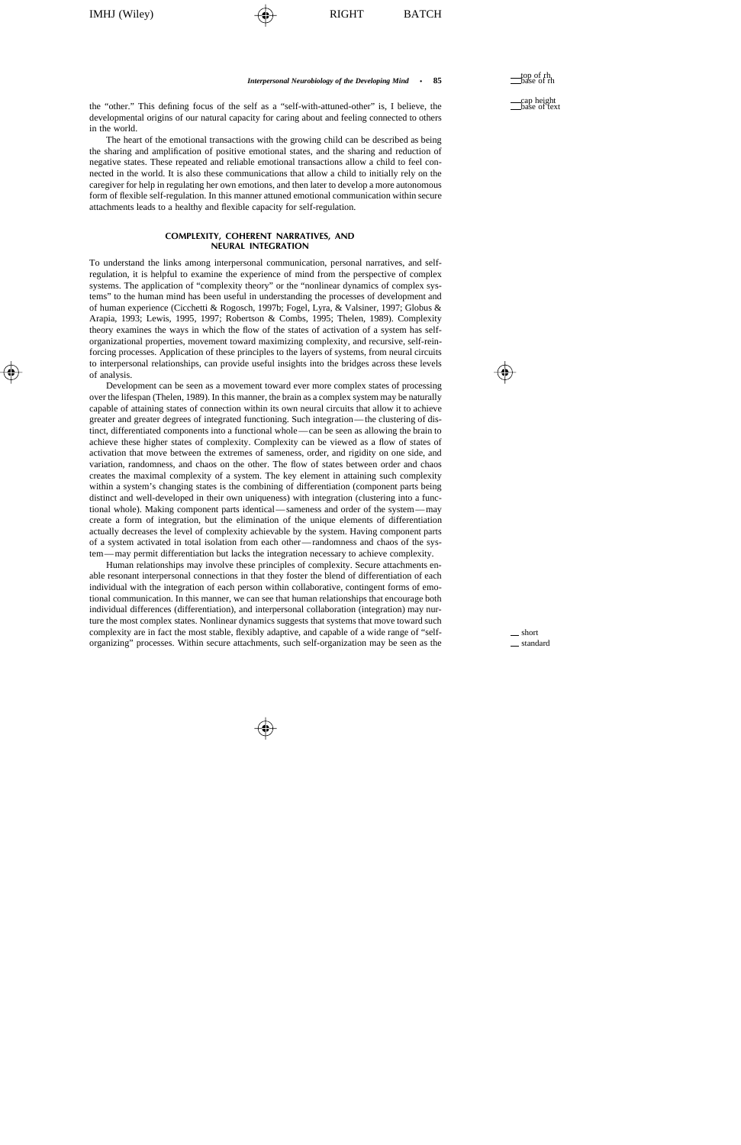the "other." This defining focus of the self as a "self-with-attuned-other" is, I believe, the developmental origins of our natural capacity for caring about and feeling connected to others in the world.

The heart of the emotional transactions with the growing child can be described as being the sharing and amplification of positive emotional states, and the sharing and reduction of negative states. These repeated and reliable emotional transactions allow a child to feel connected in the world. It is also these communications that allow a child to initially rely on the caregiver for help in regulating her own emotions, and then later to develop a more autonomous form of flexible self-regulation. In this manner attuned emotional communication within secure attachments leads to a healthy and flexible capacity for self-regulation.

## **COMPLEXITY, COHERENT NARRATIVES, AND NEURAL INTEGRATION**

To understand the links among interpersonal communication, personal narratives, and selfregulation, it is helpful to examine the experience of mind from the perspective of complex systems. The application of "complexity theory" or the "nonlinear dynamics of complex systems" to the human mind has been useful in understanding the processes of development and of human experience (Cicchetti & Rogosch, 1997b; Fogel, Lyra, & Valsiner, 1997; Globus & Arapia, 1993; Lewis, 1995, 1997; Robertson & Combs, 1995; Thelen, 1989). Complexity theory examines the ways in which the flow of the states of activation of a system has selforganizational properties, movement toward maximizing complexity, and recursive, self-reinforcing processes. Application of these principles to the layers of systems, from neural circuits to interpersonal relationships, can provide useful insights into the bridges across these levels of analysis.

Development can be seen as a movement toward ever more complex states of processing over the lifespan (Thelen, 1989). In this manner, the brain as a complex system may be naturally capable of attaining states of connection within its own neural circuits that allow it to achieve greater and greater degrees of integrated functioning. Such integration—the clustering of distinct, differentiated components into a functional whole— can be seen as allowing the brain to achieve these higher states of complexity. Complexity can be viewed as a flow of states of activation that move between the extremes of sameness, order, and rigidity on one side, and variation, randomness, and chaos on the other. The flow of states between order and chaos creates the maximal complexity of a system. The key element in attaining such complexity within a system's changing states is the combining of differentiation (component parts being distinct and well-developed in their own uniqueness) with integration (clustering into a functional whole). Making component parts identical— sameness and order of the system—may create a form of integration, but the elimination of the unique elements of differentiation actually decreases the level of complexity achievable by the system. Having component parts of a system activated in total isolation from each other— randomness and chaos of the system—may permit differentiation but lacks the integration necessary to achieve complexity.

Human relationships may involve these principles of complexity. Secure attachments enable resonant interpersonal connections in that they foster the blend of differentiation of each individual with the integration of each person within collaborative, contingent forms of emotional communication. In this manner, we can see that human relationships that encourage both individual differences (differentiation), and interpersonal collaboration (integration) may nurture the most complex states. Nonlinear dynamics suggests that systems that move toward such complexity are in fact the most stable, flexibly adaptive, and capable of a wide range of "selforganizing" processes. Within secure attachments, such self-organization may be seen as the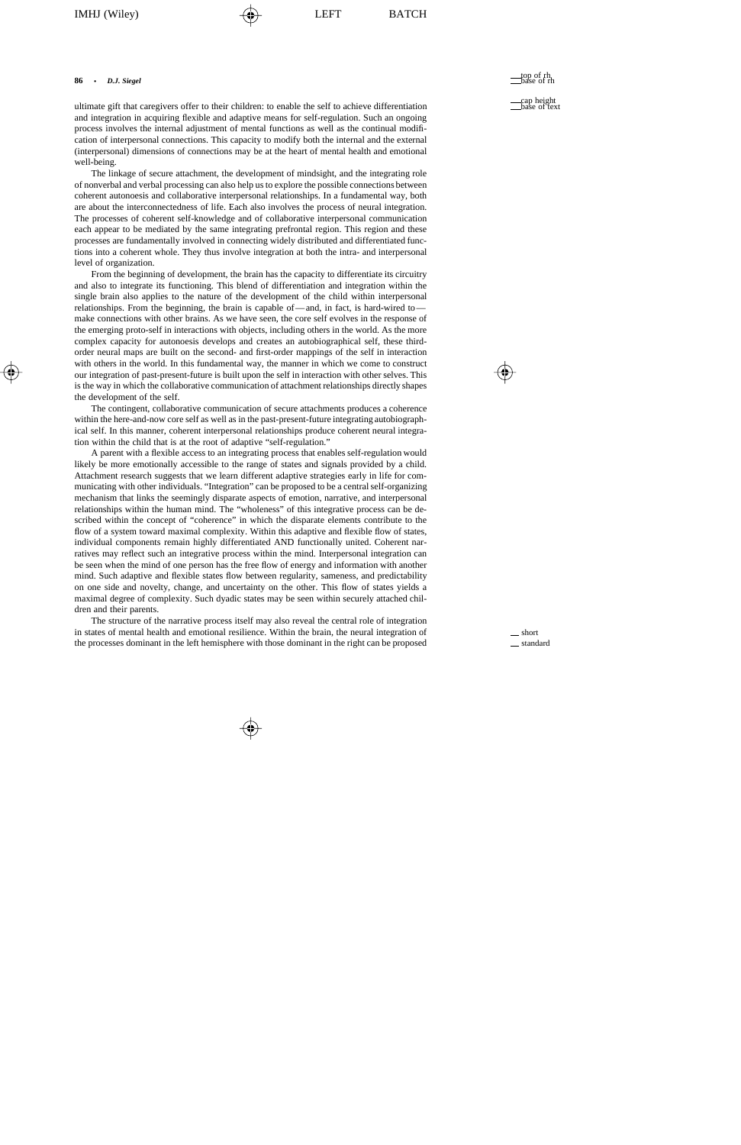ultimate gift that caregivers offer to their children: to enable the self to achieve differentiation and integration in acquiring flexible and adaptive means for self-regulation. Such an ongoing process involves the internal adjustment of mental functions as well as the continual modification of interpersonal connections. This capacity to modify both the internal and the external (interpersonal) dimensions of connections may be at the heart of mental health and emotional well-being.

The linkage of secure attachment, the development of mindsight, and the integrating role of nonverbal and verbal processing can also help us to explore the possible connections between coherent autonoesis and collaborative interpersonal relationships. In a fundamental way, both are about the interconnectedness of life. Each also involves the process of neural integration. The processes of coherent self-knowledge and of collaborative interpersonal communication each appear to be mediated by the same integrating prefrontal region. This region and these processes are fundamentally involved in connecting widely distributed and differentiated functions into a coherent whole. They thus involve integration at both the intra- and interpersonal level of organization.

From the beginning of development, the brain has the capacity to differentiate its circuitry and also to integrate its functioning. This blend of differentiation and integration within the single brain also applies to the nature of the development of the child within interpersonal relationships. From the beginning, the brain is capable of— and, in fact, is hard-wired to make connections with other brains. As we have seen, the core self evolves in the response of the emerging proto-self in interactions with objects, including others in the world. As the more complex capacity for autonoesis develops and creates an autobiographical self, these thirdorder neural maps are built on the second- and first-order mappings of the self in interaction with others in the world. In this fundamental way, the manner in which we come to construct our integration of past-present-future is built upon the self in interaction with other selves. This is the way in which the collaborative communication of attachment relationships directly shapes the development of the self.

The contingent, collaborative communication of secure attachments produces a coherence within the here-and-now core self as well as in the past-present-future integrating autobiographical self. In this manner, coherent interpersonal relationships produce coherent neural integration within the child that is at the root of adaptive "self-regulation."

A parent with a flexible access to an integrating process that enables self-regulation would likely be more emotionally accessible to the range of states and signals provided by a child. Attachment research suggests that we learn different adaptive strategies early in life for communicating with other individuals. "Integration" can be proposed to be a central self-organizing mechanism that links the seemingly disparate aspects of emotion, narrative, and interpersonal relationships within the human mind. The "wholeness" of this integrative process can be described within the concept of "coherence" in which the disparate elements contribute to the flow of a system toward maximal complexity. Within this adaptive and flexible flow of states, individual components remain highly differentiated AND functionally united. Coherent narratives may reflect such an integrative process within the mind. Interpersonal integration can be seen when the mind of one person has the free flow of energy and information with another mind. Such adaptive and flexible states flow between regularity, sameness, and predictability on one side and novelty, change, and uncertainty on the other. This flow of states yields a maximal degree of complexity. Such dyadic states may be seen within securely attached children and their parents.

The structure of the narrative process itself may also reveal the central role of integration in states of mental health and emotional resilience. Within the brain, the neural integration of the processes dominant in the left hemisphere with those dominant in the right can be proposed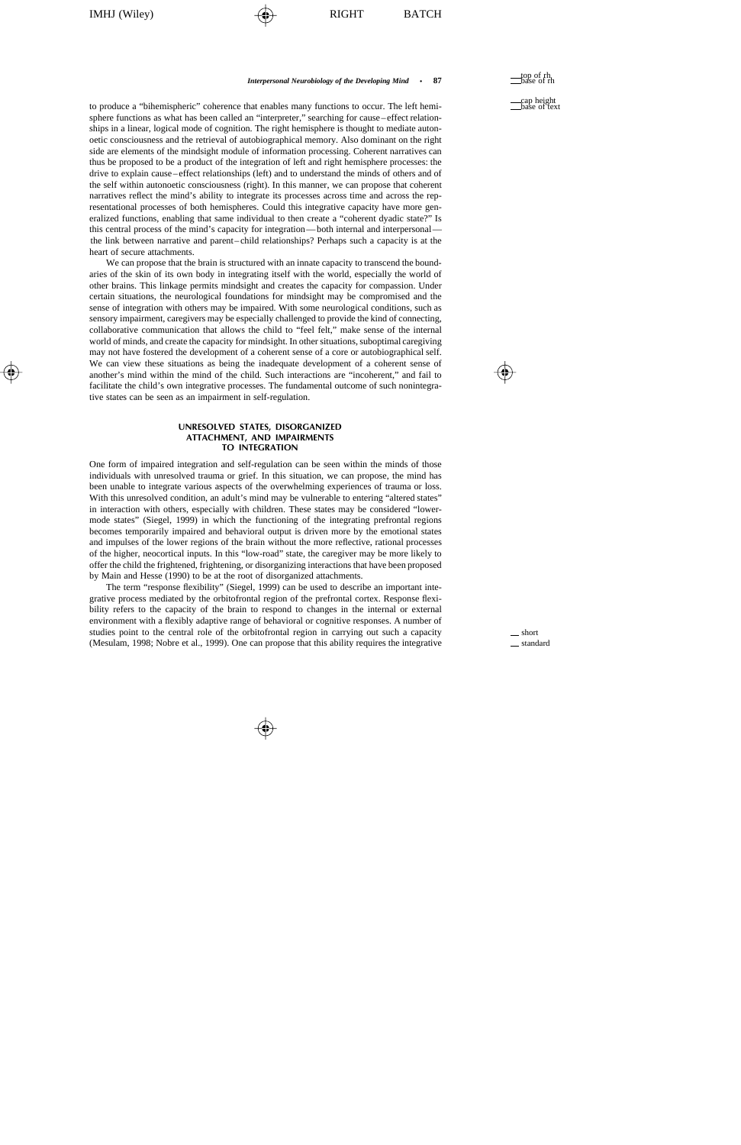to produce a "bihemispheric" coherence that enables many functions to occur. The left hemisphere functions as what has been called an "interpreter," searching for cause – effect relationships in a linear, logical mode of cognition. The right hemisphere is thought to mediate autonoetic consciousness and the retrieval of autobiographical memory. Also dominant on the right side are elements of the mindsight module of information processing. Coherent narratives can thus be proposed to be a product of the integration of left and right hemisphere processes: the drive to explain cause – effect relationships (left) and to understand the minds of others and of the self within autonoetic consciousness (right). In this manner, we can propose that coherent narratives reflect the mind's ability to integrate its processes across time and across the representational processes of both hemispheres. Could this integrative capacity have more generalized functions, enabling that same individual to then create a "coherent dyadic state?" Is this central process of the mind's capacity for integration— both internal and interpersonal the link between narrative and parent – child relationships? Perhaps such a capacity is at the heart of secure attachments.

We can propose that the brain is structured with an innate capacity to transcend the boundaries of the skin of its own body in integrating itself with the world, especially the world of other brains. This linkage permits mindsight and creates the capacity for compassion. Under certain situations, the neurological foundations for mindsight may be compromised and the sense of integration with others may be impaired. With some neurological conditions, such as sensory impairment, caregivers may be especially challenged to provide the kind of connecting, collaborative communication that allows the child to "feel felt," make sense of the internal world of minds, and create the capacity for mindsight. In other situations, suboptimal caregiving may not have fostered the development of a coherent sense of a core or autobiographical self. We can view these situations as being the inadequate development of a coherent sense of another's mind within the mind of the child. Such interactions are "incoherent," and fail to facilitate the child's own integrative processes. The fundamental outcome of such nonintegrative states can be seen as an impairment in self-regulation.

# **UNRESOLVED STATES, DISORGANIZED ATTACHMENT, AND IMPAIRMENTS TO INTEGRATION**

One form of impaired integration and self-regulation can be seen within the minds of those individuals with unresolved trauma or grief. In this situation, we can propose, the mind has been unable to integrate various aspects of the overwhelming experiences of trauma or loss. With this unresolved condition, an adult's mind may be vulnerable to entering "altered states" in interaction with others, especially with children. These states may be considered "lowermode states" (Siegel, 1999) in which the functioning of the integrating prefrontal regions becomes temporarily impaired and behavioral output is driven more by the emotional states and impulses of the lower regions of the brain without the more reflective, rational processes of the higher, neocortical inputs. In this "low-road" state, the caregiver may be more likely to offer the child the frightened, frightening, or disorganizing interactions that have been proposed by Main and Hesse (1990) to be at the root of disorganized attachments.

The term "response flexibility" (Siegel, 1999) can be used to describe an important integrative process mediated by the orbitofrontal region of the prefrontal cortex. Response flexibility refers to the capacity of the brain to respond to changes in the internal or external environment with a flexibly adaptive range of behavioral or cognitive responses. A number of studies point to the central role of the orbitofrontal region in carrying out such a capacity (Mesulam, 1998; Nobre et al., 1999). One can propose that this ability requires the integrative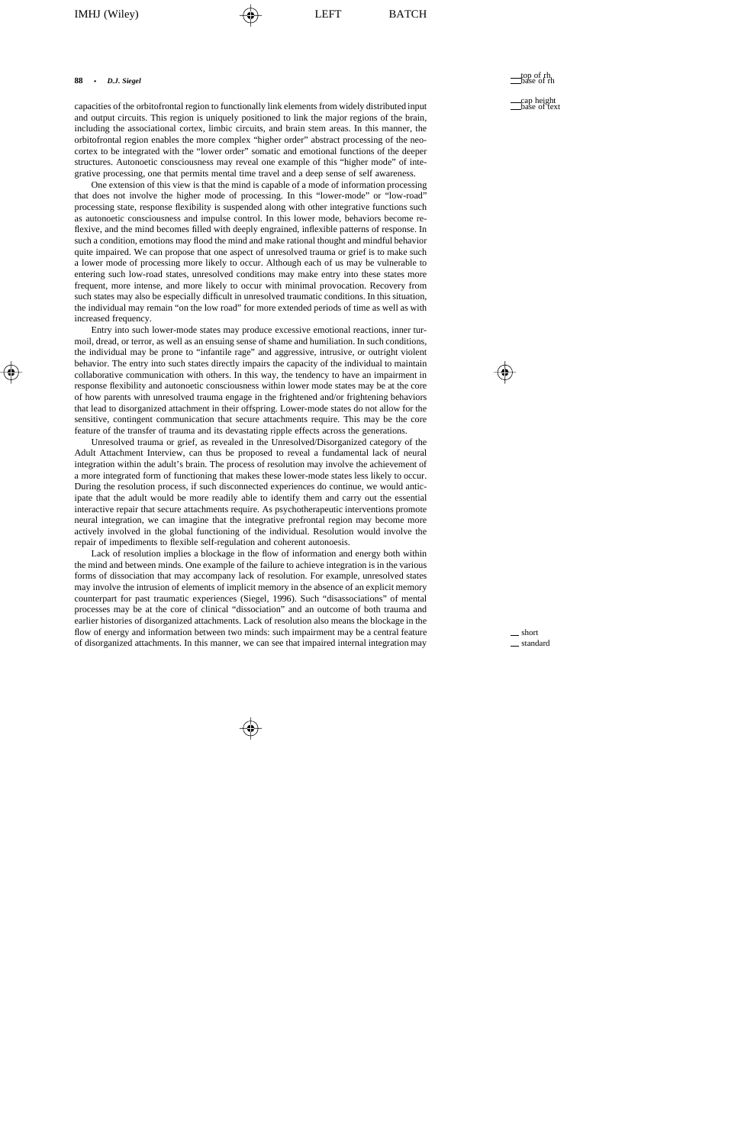capacities of the orbitofrontal region to functionally link elements from widely distributed input and output circuits. This region is uniquely positioned to link the major regions of the brain, including the associational cortex, limbic circuits, and brain stem areas. In this manner, the orbitofrontal region enables the more complex "higher order" abstract processing of the neocortex to be integrated with the "lower order" somatic and emotional functions of the deeper structures. Autonoetic consciousness may reveal one example of this "higher mode" of integrative processing, one that permits mental time travel and a deep sense of self awareness.

One extension of this view is that the mind is capable of a mode of information processing that does not involve the higher mode of processing. In this "lower-mode" or "low-road" processing state, response flexibility is suspended along with other integrative functions such as autonoetic consciousness and impulse control. In this lower mode, behaviors become reflexive, and the mind becomes filled with deeply engrained, inflexible patterns of response. In such a condition, emotions may flood the mind and make rational thought and mindful behavior quite impaired. We can propose that one aspect of unresolved trauma or grief is to make such a lower mode of processing more likely to occur. Although each of us may be vulnerable to entering such low-road states, unresolved conditions may make entry into these states more frequent, more intense, and more likely to occur with minimal provocation. Recovery from such states may also be especially difficult in unresolved traumatic conditions. In this situation, the individual may remain "on the low road" for more extended periods of time as well as with increased frequency.

Entry into such lower-mode states may produce excessive emotional reactions, inner turmoil, dread, or terror, as well as an ensuing sense of shame and humiliation. In such conditions, the individual may be prone to "infantile rage" and aggressive, intrusive, or outright violent behavior. The entry into such states directly impairs the capacity of the individual to maintain collaborative communication with others. In this way, the tendency to have an impairment in response flexibility and autonoetic consciousness within lower mode states may be at the core of how parents with unresolved trauma engage in the frightened and/or frightening behaviors that lead to disorganized attachment in their offspring. Lower-mode states do not allow for the sensitive, contingent communication that secure attachments require. This may be the core feature of the transfer of trauma and its devastating ripple effects across the generations.

Unresolved trauma or grief, as revealed in the Unresolved/Disorganized category of the Adult Attachment Interview, can thus be proposed to reveal a fundamental lack of neural integration within the adult's brain. The process of resolution may involve the achievement of a more integrated form of functioning that makes these lower-mode states less likely to occur. During the resolution process, if such disconnected experiences do continue, we would anticipate that the adult would be more readily able to identify them and carry out the essential interactive repair that secure attachments require. As psychotherapeutic interventions promote neural integration, we can imagine that the integrative prefrontal region may become more actively involved in the global functioning of the individual. Resolution would involve the repair of impediments to flexible self-regulation and coherent autonoesis.

Lack of resolution implies a blockage in the flow of information and energy both within the mind and between minds. One example of the failure to achieve integration is in the various forms of dissociation that may accompany lack of resolution. For example, unresolved states may involve the intrusion of elements of implicit memory in the absence of an explicit memory counterpart for past traumatic experiences (Siegel, 1996). Such "disassociations" of mental processes may be at the core of clinical "dissociation" and an outcome of both trauma and earlier histories of disorganized attachments. Lack of resolution also means the blockage in the flow of energy and information between two minds: such impairment may be a central feature of disorganized attachments. In this manner, we can see that impaired internal integration may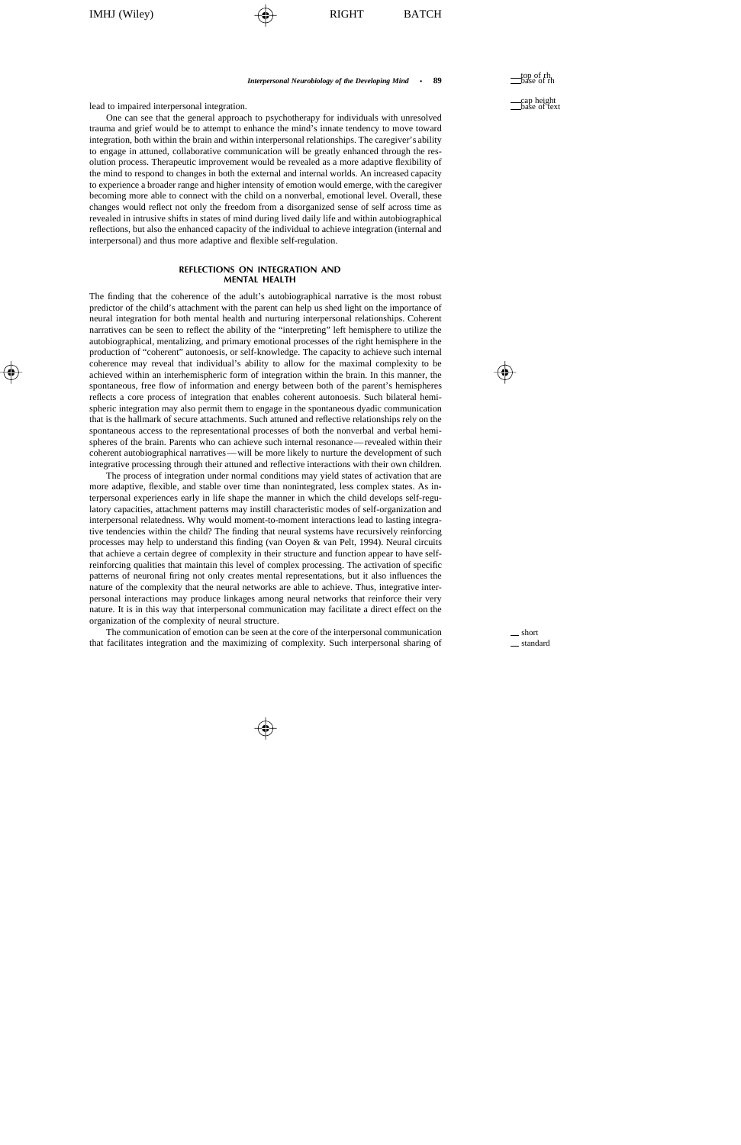lead to impaired interpersonal integration.

One can see that the general approach to psychotherapy for individuals with unresolved trauma and grief would be to attempt to enhance the mind's innate tendency to move toward integration, both within the brain and within interpersonal relationships. The caregiver's ability to engage in attuned, collaborative communication will be greatly enhanced through the resolution process. Therapeutic improvement would be revealed as a more adaptive flexibility of the mind to respond to changes in both the external and internal worlds. An increased capacity to experience a broader range and higher intensity of emotion would emerge, with the caregiver becoming more able to connect with the child on a nonverbal, emotional level. Overall, these changes would reflect not only the freedom from a disorganized sense of self across time as revealed in intrusive shifts in states of mind during lived daily life and within autobiographical reflections, but also the enhanced capacity of the individual to achieve integration (internal and interpersonal) and thus more adaptive and flexible self-regulation.

# **REFLECTIONS ON INTEGRATION AND MENTAL HEALTH**

The finding that the coherence of the adult's autobiographical narrative is the most robust predictor of the child's attachment with the parent can help us shed light on the importance of neural integration for both mental health and nurturing interpersonal relationships. Coherent narratives can be seen to reflect the ability of the "interpreting" left hemisphere to utilize the autobiographical, mentalizing, and primary emotional processes of the right hemisphere in the production of "coherent" autonoesis, or self-knowledge. The capacity to achieve such internal coherence may reveal that individual's ability to allow for the maximal complexity to be achieved within an interhemispheric form of integration within the brain. In this manner, the spontaneous, free flow of information and energy between both of the parent's hemispheres reflects a core process of integration that enables coherent autonoesis. Such bilateral hemispheric integration may also permit them to engage in the spontaneous dyadic communication that is the hallmark of secure attachments. Such attuned and reflective relationships rely on the spontaneous access to the representational processes of both the nonverbal and verbal hemispheres of the brain. Parents who can achieve such internal resonance— revealed within their coherent autobiographical narratives—will be more likely to nurture the development of such integrative processing through their attuned and reflective interactions with their own children.

The process of integration under normal conditions may yield states of activation that are more adaptive, flexible, and stable over time than nonintegrated, less complex states. As interpersonal experiences early in life shape the manner in which the child develops self-regulatory capacities, attachment patterns may instill characteristic modes of self-organization and interpersonal relatedness. Why would moment-to-moment interactions lead to lasting integrative tendencies within the child? The finding that neural systems have recursively reinforcing processes may help to understand this finding (van Ooyen & van Pelt, 1994). Neural circuits that achieve a certain degree of complexity in their structure and function appear to have selfreinforcing qualities that maintain this level of complex processing. The activation of specific patterns of neuronal firing not only creates mental representations, but it also influences the nature of the complexity that the neural networks are able to achieve. Thus, integrative interpersonal interactions may produce linkages among neural networks that reinforce their very nature. It is in this way that interpersonal communication may facilitate a direct effect on the organization of the complexity of neural structure.

The communication of emotion can be seen at the core of the interpersonal communication that facilitates integration and the maximizing of complexity. Such interpersonal sharing of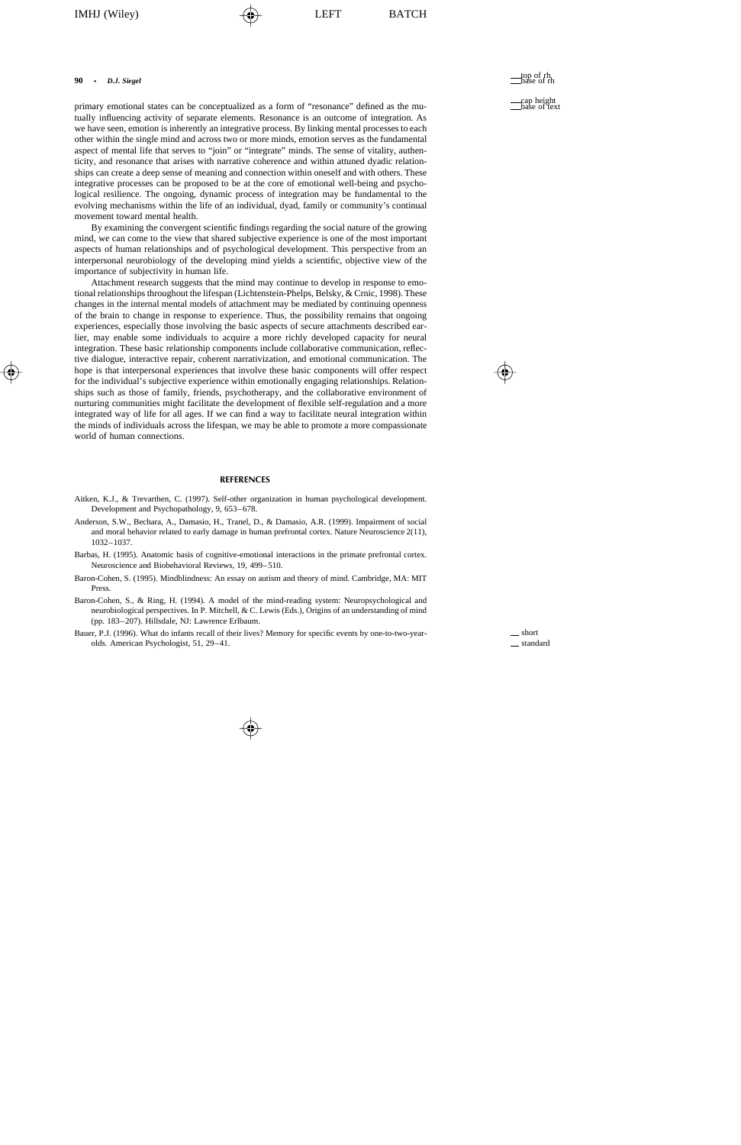primary emotional states can be conceptualized as a form of "resonance" defined as the mutually influencing activity of separate elements. Resonance is an outcome of integration. As we have seen, emotion is inherently an integrative process. By linking mental processes to each other within the single mind and across two or more minds, emotion serves as the fundamental aspect of mental life that serves to "join" or "integrate" minds. The sense of vitality, authenticity, and resonance that arises with narrative coherence and within attuned dyadic relationships can create a deep sense of meaning and connection within oneself and with others. These integrative processes can be proposed to be at the core of emotional well-being and psychological resilience. The ongoing, dynamic process of integration may be fundamental to the evolving mechanisms within the life of an individual, dyad, family or community's continual movement toward mental health.

By examining the convergent scientific findings regarding the social nature of the growing mind, we can come to the view that shared subjective experience is one of the most important aspects of human relationships and of psychological development. This perspective from an interpersonal neurobiology of the developing mind yields a scientific, objective view of the importance of subjectivity in human life.

Attachment research suggests that the mind may continue to develop in response to emotional relationships throughout the lifespan (Lichtenstein-Phelps, Belsky, & Crnic, 1998). These changes in the internal mental models of attachment may be mediated by continuing openness of the brain to change in response to experience. Thus, the possibility remains that ongoing experiences, especially those involving the basic aspects of secure attachments described earlier, may enable some individuals to acquire a more richly developed capacity for neural integration. These basic relationship components include collaborative communication, reflective dialogue, interactive repair, coherent narrativization, and emotional communication. The hope is that interpersonal experiences that involve these basic components will offer respect for the individual's subjective experience within emotionally engaging relationships. Relationships such as those of family, friends, psychotherapy, and the collaborative environment of nurturing communities might facilitate the development of flexible self-regulation and a more integrated way of life for all ages. If we can find a way to facilitate neural integration within the minds of individuals across the lifespan, we may be able to promote a more compassionate world of human connections.

#### **REFERENCES**

- Aitken, K.J., & Trevarthen, C. (1997). Self-other organization in human psychological development. Development and Psychopathology, 9, 653-678.
- Anderson, S.W., Bechara, A., Damasio, H., Tranel, D., & Damasio, A.R. (1999). Impairment of social and moral behavior related to early damage in human prefrontal cortex. Nature Neuroscience 2(11), 1032– 1037.
- Barbas, H. (1995). Anatomic basis of cognitive-emotional interactions in the primate prefrontal cortex. Neuroscience and Biobehavioral Reviews, 19, 499–510.
- Baron-Cohen, S. (1995). Mindblindness: An essay on autism and theory of mind. Cambridge, MA: MIT Press.
- Baron-Cohen, S., & Ring, H. (1994). A model of the mind-reading system: Neuropsychological and neurobiological perspectives. In P. Mitchell, & C. Lewis (Eds.), Origins of an understanding of mind (pp. 183– 207). Hillsdale, NJ: Lawrence Erlbaum.
- Bauer, P.J. (1996). What do infants recall of their lives? Memory for specific events by one-to-two-yearolds. American Psychologist, 51, 29–41.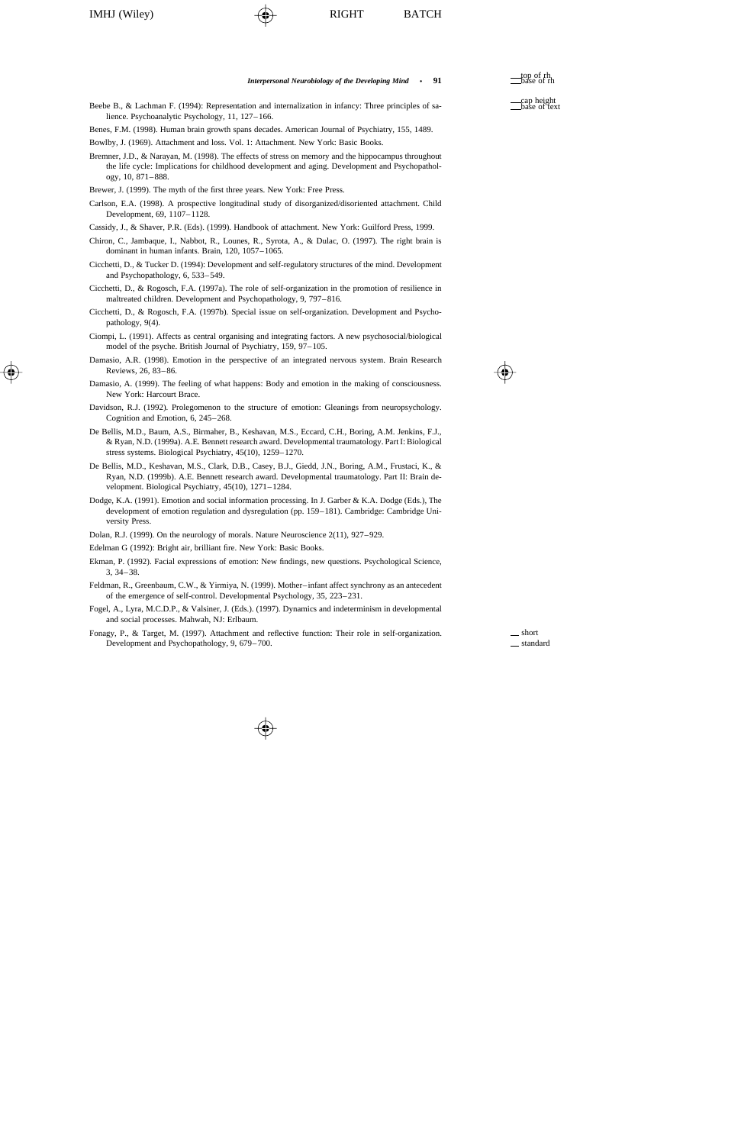- Beebe B., & Lachman F. (1994): Representation and internalization in infancy: Three principles of salience. Psychoanalytic Psychology, 11, 127– 166.
- Benes, F.M. (1998). Human brain growth spans decades. American Journal of Psychiatry, 155, 1489.
- Bowlby, J. (1969). Attachment and loss. Vol. 1: Attachment. New York: Basic Books.
- Bremner, J.D., & Narayan, M. (1998). The effects of stress on memory and the hippocampus throughout the life cycle: Implications for childhood development and aging. Development and Psychopathology,  $10, 871-888$ .
- Brewer, J. (1999). The myth of the first three years. New York: Free Press.
- Carlson, E.A. (1998). A prospective longitudinal study of disorganized/disoriented attachment. Child Development, 69, 1107– 1128.
- Cassidy, J., & Shaver, P.R. (Eds). (1999). Handbook of attachment. New York: Guilford Press, 1999.
- Chiron, C., Jambaque, I., Nabbot, R., Lounes, R., Syrota, A., & Dulac, O. (1997). The right brain is dominant in human infants. Brain, 120, 1057– 1065.
- Cicchetti, D., & Tucker D. (1994): Development and self-regulatory structures of the mind. Development and Psychopathology, 6, 533– 549.
- Cicchetti, D., & Rogosch, F.A. (1997a). The role of self-organization in the promotion of resilience in maltreated children. Development and Psychopathology, 9, 797– 816.
- Cicchetti, D., & Rogosch, F.A. (1997b). Special issue on self-organization. Development and Psychopathology, 9(4).
- Ciompi, L. (1991). Affects as central organising and integrating factors. A new psychosocial/biological model of the psyche. British Journal of Psychiatry, 159, 97– 105.
- Damasio, A.R. (1998). Emotion in the perspective of an integrated nervous system. Brain Research Reviews, 26, 83– 86.
- Damasio, A. (1999). The feeling of what happens: Body and emotion in the making of consciousness. New York: Harcourt Brace.
- Davidson, R.J. (1992). Prolegomenon to the structure of emotion: Gleanings from neuropsychology. Cognition and Emotion, 6, 245– 268.
- De Bellis, M.D., Baum, A.S., Birmaher, B., Keshavan, M.S., Eccard, C.H., Boring, A.M. Jenkins, F.J., & Ryan, N.D. (1999a). A.E. Bennett research award. Developmental traumatology. Part I: Biological stress systems. Biological Psychiatry, 45(10), 1259– 1270.
- De Bellis, M.D., Keshavan, M.S., Clark, D.B., Casey, B.J., Giedd, J.N., Boring, A.M., Frustaci, K., & Ryan, N.D. (1999b). A.E. Bennett research award. Developmental traumatology. Part II: Brain development. Biological Psychiatry, 45(10), 1271– 1284.
- Dodge, K.A. (1991). Emotion and social information processing. In J. Garber & K.A. Dodge (Eds.), The development of emotion regulation and dysregulation (pp. 159–181). Cambridge: Cambridge University Press.
- Dolan, R.J. (1999). On the neurology of morals. Nature Neuroscience 2(11), 927–929.
- Edelman G (1992): Bright air, brilliant fire. New York: Basic Books.
- Ekman, P. (1992). Facial expressions of emotion: New findings, new questions. Psychological Science, 3, 34– 38.
- Feldman, R., Greenbaum, C.W., & Yirmiya, N. (1999). Mother–infant affect synchrony as an antecedent of the emergence of self-control. Developmental Psychology, 35, 223– 231.
- Fogel, A., Lyra, M.C.D.P., & Valsiner, J. (Eds.). (1997). Dynamics and indeterminism in developmental and social processes. Mahwah, NJ: Erlbaum.
- Fonagy, P., & Target, M. (1997). Attachment and reflective function: Their role in self-organization. Development and Psychopathology, 9, 679– 700.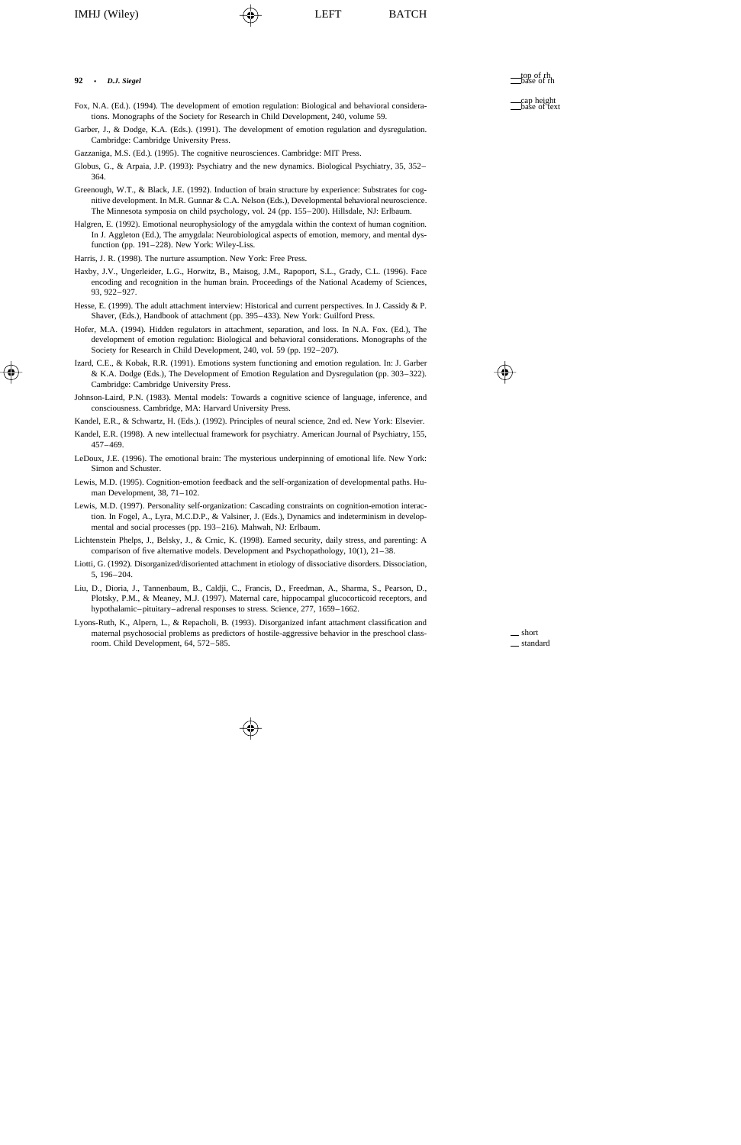- Fox, N.A. (Ed.). (1994). The development of emotion regulation: Biological and behavioral considerations. Monographs of the Society for Research in Child Development, 240, volume 59.
- Garber, J., & Dodge, K.A. (Eds.). (1991). The development of emotion regulation and dysregulation. Cambridge: Cambridge University Press.
- Gazzaniga, M.S. (Ed.). (1995). The cognitive neurosciences. Cambridge: MIT Press.
- Globus, G., & Arpaia, J.P. (1993): Psychiatry and the new dynamics. Biological Psychiatry, 35, 352– 364.
- Greenough, W.T., & Black, J.E. (1992). Induction of brain structure by experience: Substrates for cognitive development. In M.R. Gunnar & C.A. Nelson (Eds.), Developmental behavioral neuroscience. The Minnesota symposia on child psychology, vol. 24 (pp. 155– 200). Hillsdale, NJ: Erlbaum.
- Halgren, E. (1992). Emotional neurophysiology of the amygdala within the context of human cognition. In J. Aggleton (Ed.), The amygdala: Neurobiological aspects of emotion, memory, and mental dysfunction (pp. 191–228). New York: Wiley-Liss.
- Harris, J. R. (1998). The nurture assumption. New York: Free Press.
- Haxby, J.V., Ungerleider, L.G., Horwitz, B., Maisog, J.M., Rapoport, S.L., Grady, C.L. (1996). Face encoding and recognition in the human brain. Proceedings of the National Academy of Sciences, 93, 922– 927.
- Hesse, E. (1999). The adult attachment interview: Historical and current perspectives. In J. Cassidy & P. Shaver, (Eds.), Handbook of attachment (pp. 395– 433). New York: Guilford Press.
- Hofer, M.A. (1994). Hidden regulators in attachment, separation, and loss. In N.A. Fox. (Ed.), The development of emotion regulation: Biological and behavioral considerations. Monographs of the Society for Research in Child Development, 240, vol. 59 (pp. 192-207).
- Izard, C.E., & Kobak, R.R. (1991). Emotions system functioning and emotion regulation. In: J. Garber & K.A. Dodge (Eds.), The Development of Emotion Regulation and Dysregulation (pp. 303– 322). Cambridge: Cambridge University Press.
- Johnson-Laird, P.N. (1983). Mental models: Towards a cognitive science of language, inference, and consciousness. Cambridge, MA: Harvard University Press.
- Kandel, E.R., & Schwartz, H. (Eds.). (1992). Principles of neural science, 2nd ed. New York: Elsevier.
- Kandel, E.R. (1998). A new intellectual framework for psychiatry. American Journal of Psychiatry, 155, 457– 469.
- LeDoux, J.E. (1996). The emotional brain: The mysterious underpinning of emotional life. New York: Simon and Schuster.
- Lewis, M.D. (1995). Cognition-emotion feedback and the self-organization of developmental paths. Human Development, 38, 71– 102.
- Lewis, M.D. (1997). Personality self-organization: Cascading constraints on cognition-emotion interaction. In Fogel, A., Lyra, M.C.D.P., & Valsiner, J. (Eds.), Dynamics and indeterminism in developmental and social processes (pp. 193-216). Mahwah, NJ: Erlbaum.
- Lichtenstein Phelps, J., Belsky, J., & Crnic, K. (1998). Earned security, daily stress, and parenting: A comparison of five alternative models. Development and Psychopathology,  $10(1)$ ,  $21-38$ .
- Liotti, G. (1992). Disorganized/disoriented attachment in etiology of dissociative disorders. Dissociation, 5, 196– 204.
- Liu, D., Dioria, J., Tannenbaum, B., Caldji, C., Francis, D., Freedman, A., Sharma, S., Pearson, D., Plotsky, P.M., & Meaney, M.J. (1997). Maternal care, hippocampal glucocorticoid receptors, and hypothalamic– pituitary–adrenal responses to stress. Science, 277, 1659– 1662.
- Lyons-Ruth, K., Alpern, L., & Repacholi, B. (1993). Disorganized infant attachment classification and maternal psychosocial problems as predictors of hostile-aggressive behavior in the preschool classroom. Child Development, 64, 572–585.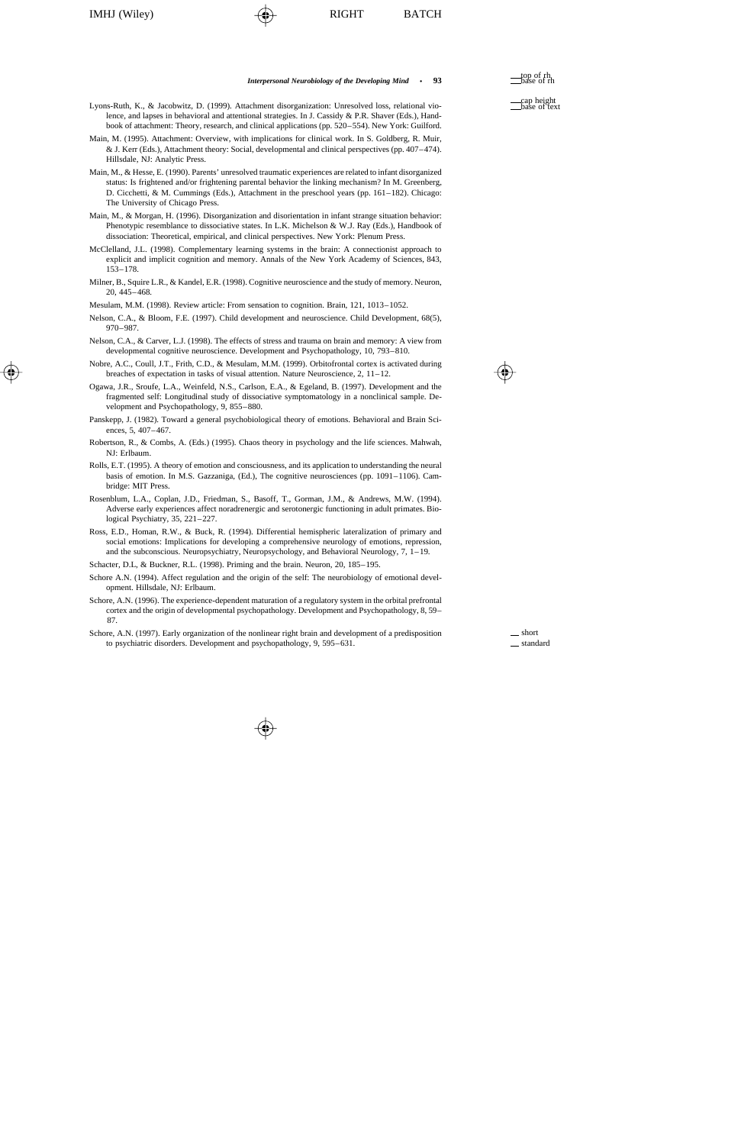- Lyons-Ruth, K., & Jacobwitz, D. (1999). Attachment disorganization: Unresolved loss, relational violence, and lapses in behavioral and attentional strategies. In J. Cassidy & P.R. Shaver (Eds.), Handbook of attachment: Theory, research, and clinical applications (pp. 520–554). New York: Guilford.
- Main, M. (1995). Attachment: Overview, with implications for clinical work. In S. Goldberg, R. Muir, & J. Kerr (Eds.), Attachment theory: Social, developmental and clinical perspectives (pp. 407– 474). Hillsdale, NJ: Analytic Press.
- Main, M., & Hesse, E. (1990). Parents' unresolved traumatic experiences are related to infant disorganized status: Is frightened and/or frightening parental behavior the linking mechanism? In M. Greenberg, D. Cicchetti, & M. Cummings (Eds.), Attachment in the preschool years (pp. 161– 182). Chicago: The University of Chicago Press.
- Main, M., & Morgan, H. (1996). Disorganization and disorientation in infant strange situation behavior: Phenotypic resemblance to dissociative states. In L.K. Michelson & W.J. Ray (Eds.), Handbook of dissociation: Theoretical, empirical, and clinical perspectives. New York: Plenum Press.
- McClelland, J.L. (1998). Complementary learning systems in the brain: A connectionist approach to explicit and implicit cognition and memory. Annals of the New York Academy of Sciences, 843, 153– 178.
- Milner, B., Squire L.R., & Kandel, E.R. (1998). Cognitive neuroscience and the study of memory. Neuron, 20, 445– 468.
- Mesulam, M.M. (1998). Review article: From sensation to cognition. Brain, 121, 1013– 1052.
- Nelson, C.A., & Bloom, F.E. (1997). Child development and neuroscience. Child Development, 68(5), 970– 987.
- Nelson, C.A., & Carver, L.J. (1998). The effects of stress and trauma on brain and memory: A view from developmental cognitive neuroscience. Development and Psychopathology, 10, 793– 810.
- Nobre, A.C., Coull, J.T., Frith, C.D., & Mesulam, M.M. (1999). Orbitofrontal cortex is activated during breaches of expectation in tasks of visual attention. Nature Neuroscience,  $2$ ,  $11-12$ .
- Ogawa, J.R., Sroufe, L.A., Weinfeld, N.S., Carlson, E.A., & Egeland, B. (1997). Development and the fragmented self: Longitudinal study of dissociative symptomatology in a nonclinical sample. Development and Psychopathology, 9, 855– 880.
- Panskepp, J. (1982). Toward a general psychobiological theory of emotions. Behavioral and Brain Sciences, 5, 407-467.
- Robertson, R., & Combs, A. (Eds.) (1995). Chaos theory in psychology and the life sciences. Mahwah, NJ: Erlbaum.
- Rolls, E.T. (1995). A theory of emotion and consciousness, and its application to understanding the neural basis of emotion. In M.S. Gazzaniga, (Ed.), The cognitive neurosciences (pp. 1091– 1106). Cambridge: MIT Press.
- Rosenblum, L.A., Coplan, J.D., Friedman, S., Basoff, T., Gorman, J.M., & Andrews, M.W. (1994). Adverse early experiences affect noradrenergic and serotonergic functioning in adult primates. Biological Psychiatry, 35, 221-227.
- Ross, E.D., Homan, R.W., & Buck, R. (1994). Differential hemispheric lateralization of primary and social emotions: Implications for developing a comprehensive neurology of emotions, repression, and the subconscious. Neuropsychiatry, Neuropsychology, and Behavioral Neurology, 7, 1– 19.
- Schacter, D.L, & Buckner, R.L. (1998). Priming and the brain. Neuron, 20, 185– 195.
- Schore A.N. (1994). Affect regulation and the origin of the self: The neurobiology of emotional development. Hillsdale, NJ: Erlbaum.
- Schore, A.N. (1996). The experience-dependent maturation of a regulatory system in the orbital prefrontal cortex and the origin of developmental psychopathology. Development and Psychopathology, 8, 59– 87.
- Schore, A.N. (1997). Early organization of the nonlinear right brain and development of a predisposition to psychiatric disorders. Development and psychopathology, 9, 595– 631.